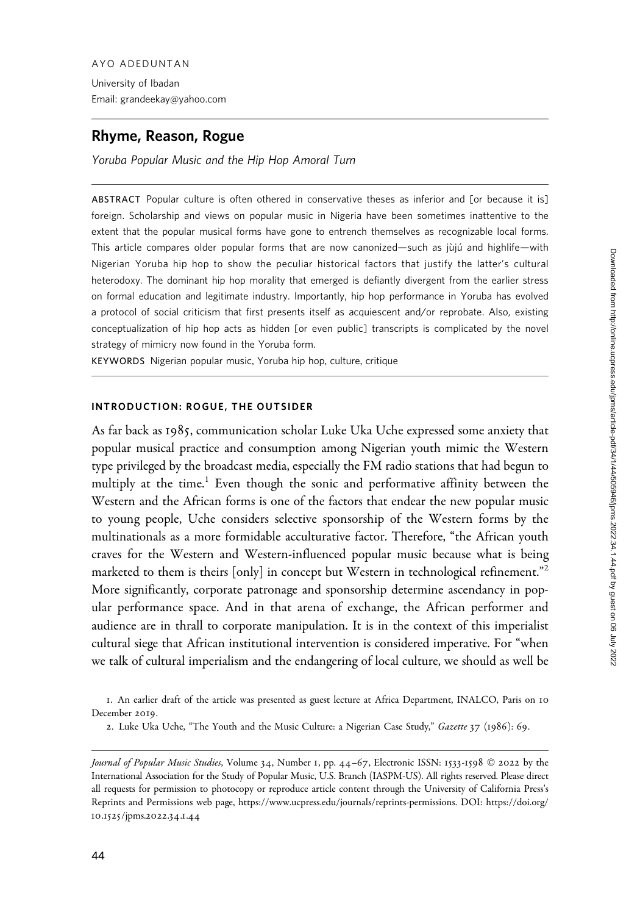AYO ADEDUNTAN University of Ibadan Email: grandeekay@yahoo.com

Rhyme, Reason, Rogue Yoruba Popular Music and the Hip Hop Amoral Turn

ABSTRACT Popular culture is often othered in conservative theses as inferior and [or because it is] foreign. Scholarship and views on popular music in Nigeria have been sometimes inattentive to the extent that the popular musical forms have gone to entrench themselves as recognizable local forms. This article compares older popular forms that are now canonized—such as jùjú and highlife—with Nigerian Yoruba hip hop to show the peculiar historical factors that justify the latter's cultural heterodoxy. The dominant hip hop morality that emerged is defiantly divergent from the earlier stress on formal education and legitimate industry. Importantly, hip hop performance in Yoruba has evolved a protocol of social criticism that first presents itself as acquiescent and/or reprobate. Also, existing conceptualization of hip hop acts as hidden [or even public] transcripts is complicated by the novel strategy of mimicry now found in the Yoruba form.

KEYWORDS Nigerian popular music, Yoruba hip hop, culture, critique

# INTRODUCTION: ROGUE, THE OUTSIDER

As far back as 1985, communication scholar Luke Uka Uche expressed some anxiety that popular musical practice and consumption among Nigerian youth mimic the Western type privileged by the broadcast media, especially the FM radio stations that had begun to multiply at the time.<sup>1</sup> Even though the sonic and performative affinity between the Western and the African forms is one of the factors that endear the new popular music to young people, Uche considers selective sponsorship of the Western forms by the multinationals as a more formidable acculturative factor. Therefore, "the African youth craves for the Western and Western-influenced popular music because what is being marketed to them is theirs [only] in concept but Western in technological refinement." 2 More significantly, corporate patronage and sponsorship determine ascendancy in popular performance space. And in that arena of exchange, the African performer and audience are in thrall to corporate manipulation. It is in the context of this imperialist cultural siege that African institutional intervention is considered imperative. For "when we talk of cultural imperialism and the endangering of local culture, we should as well be

1. An earlier draft of the article was presented as guest lecture at Africa Department, INALCO, Paris on 10 December 2019.

2. Luke Uka Uche, "The Youth and the Music Culture: a Nigerian Case Study," Gazette 37 (1986): 69.

Journal of Popular Music Studies, Volume 34, Number 1, pp. 44–67, Electronic ISSN: 1533-1598 © 2022 by the International Association for the Study of Popular Music, U.S. Branch (IASPM-US). All rights reserved. Please direct all requests for permission to photocopy or reproduce article content through the University of California Press's Reprints and Permissions web page, [https://www.ucpress.edu/journals/reprints-permissions.](https://www.ucpress.edu/journals/reprints-permissions) [DOI: https://doi.org/](https://doi.org/10.1525/jpms.2022.34.1.44) 10.1525[/jpms.](https://doi.org/10.1525/jpms.2022.34.1.44)2022.34.1.44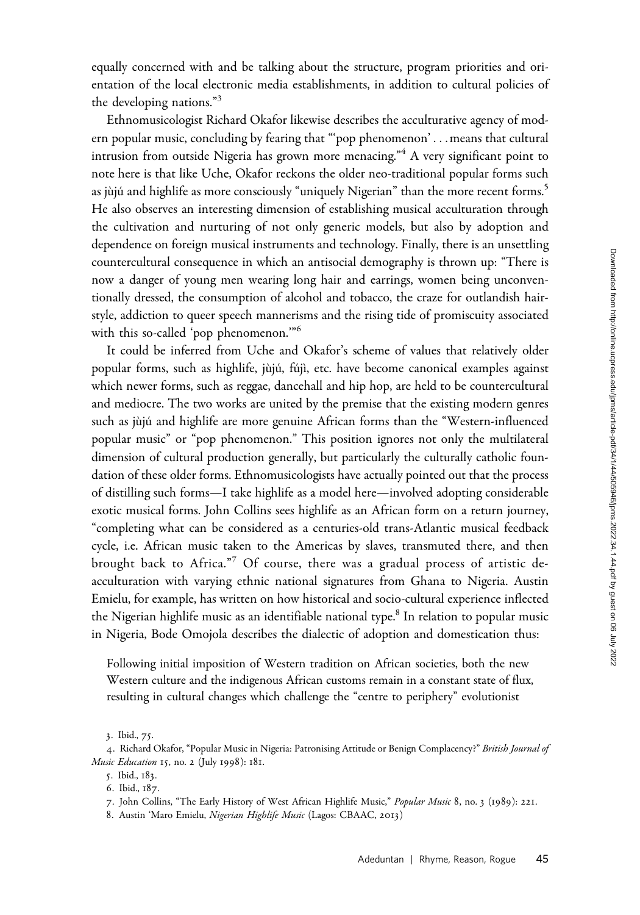equally concerned with and be talking about the structure, program priorities and orientation of the local electronic media establishments, in addition to cultural policies of the developing nations." 3

Ethnomusicologist Richard Okafor likewise describes the acculturative agency of modern popular music, concluding by fearing that "'pop phenomenon' ...means that cultural intrusion from outside Nigeria has grown more menacing." <sup>4</sup> A very significant point to note here is that like Uche, Okafor reckons the older neo-traditional popular forms such as jùjú and highlife as more consciously "uniquely Nigerian" than the more recent forms.<sup>5</sup> He also observes an interesting dimension of establishing musical acculturation through the cultivation and nurturing of not only generic models, but also by adoption and dependence on foreign musical instruments and technology. Finally, there is an unsettling countercultural consequence in which an antisocial demography is thrown up: "There is now a danger of young men wearing long hair and earrings, women being unconventionally dressed, the consumption of alcohol and tobacco, the craze for outlandish hairstyle, addiction to queer speech mannerisms and the rising tide of promiscuity associated with this so-called 'pop phenomenon."<sup>6</sup>

It could be inferred from Uche and Okafor's scheme of values that relatively older popular forms, such as highlife, jùjú, fújì, etc. have become canonical examples against which newer forms, such as reggae, dancehall and hip hop, are held to be countercultural and mediocre. The two works are united by the premise that the existing modern genres such as jùjú and highlife are more genuine African forms than the "Western-influenced popular music" or "pop phenomenon." This position ignores not only the multilateral dimension of cultural production generally, but particularly the culturally catholic foundation of these older forms. Ethnomusicologists have actually pointed out that the process of distilling such forms—I take highlife as a model here—involved adopting considerable exotic musical forms. John Collins sees highlife as an African form on a return journey, "completing what can be considered as a centuries-old trans-Atlantic musical feedback cycle, i.e. African music taken to the Americas by slaves, transmuted there, and then brought back to Africa."<sup>7</sup> Of course, there was a gradual process of artistic deacculturation with varying ethnic national signatures from Ghana to Nigeria. Austin Emielu, for example, has written on how historical and socio-cultural experience inflected the Nigerian highlife music as an identifiable national type.<sup>8</sup> In relation to popular music in Nigeria, Bode Omojola describes the dialectic of adoption and domestication thus:

Following initial imposition of Western tradition on African societies, both the new Western culture and the indigenous African customs remain in a constant state of flux, resulting in cultural changes which challenge the "centre to periphery" evolutionist

<sup>3</sup>. Ibid., 75.

<sup>4</sup>. Richard Okafor, "Popular Music in Nigeria: Patronising Attitude or Benign Complacency?" British Journal of Music Education 15, no. 2 (July 1998): 181.

<sup>5</sup>. Ibid., 183.

<sup>6</sup>. Ibid., 187.

<sup>7</sup>. John Collins, "The Early History of West African Highlife Music," Popular Music 8, no. 3 (1989): 221.

<sup>8</sup>. Austin 'Maro Emielu, Nigerian Highlife Music (Lagos: CBAAC, 2013)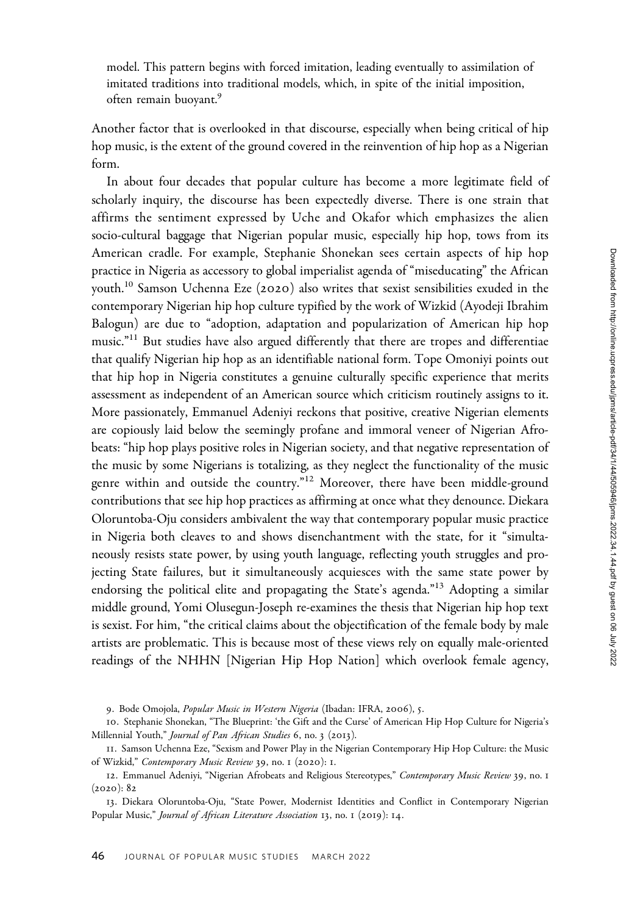model. This pattern begins with forced imitation, leading eventually to assimilation of imitated traditions into traditional models, which, in spite of the initial imposition, often remain buoyant.<sup>9</sup>

Another factor that is overlooked in that discourse, especially when being critical of hip hop music, is the extent of the ground covered in the reinvention of hip hop as a Nigerian form.

In about four decades that popular culture has become a more legitimate field of scholarly inquiry, the discourse has been expectedly diverse. There is one strain that affirms the sentiment expressed by Uche and Okafor which emphasizes the alien socio-cultural baggage that Nigerian popular music, especially hip hop, tows from its American cradle. For example, Stephanie Shonekan sees certain aspects of hip hop practice in Nigeria as accessory to global imperialist agenda of "miseducating" the African youth.<sup>10</sup> Samson Uchenna Eze (2020) also writes that sexist sensibilities exuded in the contemporary Nigerian hip hop culture typified by the work of Wizkid (Ayodeji Ibrahim Balogun) are due to "adoption, adaptation and popularization of American hip hop music." <sup>11</sup> But studies have also argued differently that there are tropes and differentiae that qualify Nigerian hip hop as an identifiable national form. Tope Omoniyi points out that hip hop in Nigeria constitutes a genuine culturally specific experience that merits assessment as independent of an American source which criticism routinely assigns to it. More passionately, Emmanuel Adeniyi reckons that positive, creative Nigerian elements are copiously laid below the seemingly profane and immoral veneer of Nigerian Afrobeats: "hip hop plays positive roles in Nigerian society, and that negative representation of the music by some Nigerians is totalizing, as they neglect the functionality of the music genre within and outside the country."<sup>12</sup> Moreover, there have been middle-ground contributions that see hip hop practices as affirming at once what they denounce. Diekara Oloruntoba-Oju considers ambivalent the way that contemporary popular music practice in Nigeria both cleaves to and shows disenchantment with the state, for it "simultaneously resists state power, by using youth language, reflecting youth struggles and projecting State failures, but it simultaneously acquiesces with the same state power by endorsing the political elite and propagating the State's agenda." <sup>13</sup> Adopting a similar middle ground, Yomi Olusegun-Joseph re-examines the thesis that Nigerian hip hop text is sexist. For him, "the critical claims about the objectification of the female body by male artists are problematic. This is because most of these views rely on equally male-oriented readings of the NHHN [Nigerian Hip Hop Nation] which overlook female agency,

9. Bode Omojola, Popular Music in Western Nigeria (Ibadan: IFRA, 2006), 5.

<sup>10</sup>. Stephanie Shonekan, "The Blueprint: 'the Gift and the Curse' of American Hip Hop Culture for Nigeria's Millennial Youth," Journal of Pan African Studies 6, no. 3 (2013).

<sup>11</sup>. Samson Uchenna Eze, "Sexism and Power Play in the Nigerian Contemporary Hip Hop Culture: the Music of Wizkid," Contemporary Music Review 39, no. 1 (2020): 1.

<sup>12.</sup> Emmanuel Adeniyi, "Nigerian Afrobeats and Religious Stereotypes," Contemporary Music Review 39, no. 1 (2020): 82

<sup>13</sup>. Diekara Oloruntoba-Oju, "State Power, Modernist Identities and Conflict in Contemporary Nigerian Popular Music," Journal of African Literature Association 13, no. 1 (2019): 14.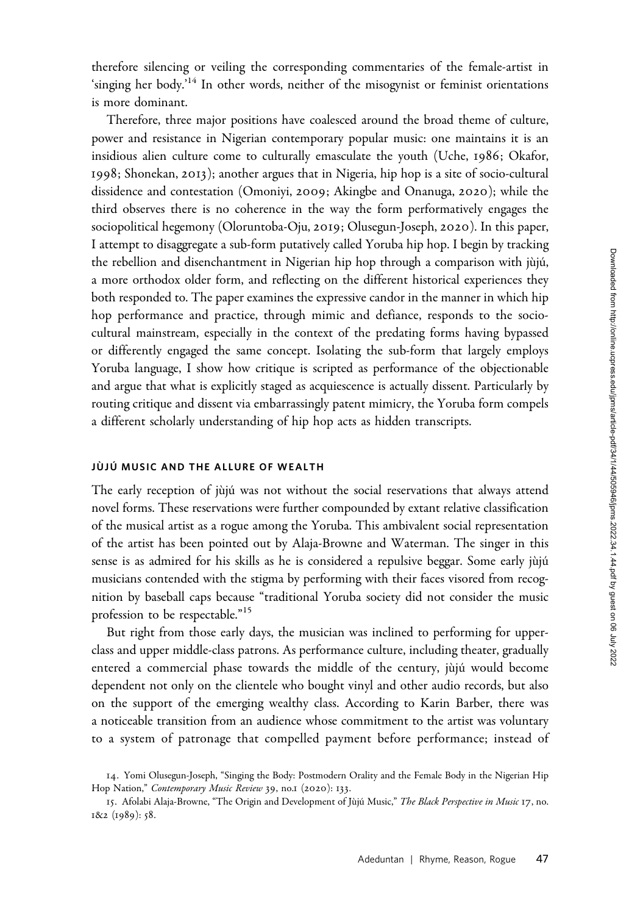therefore silencing or veiling the corresponding commentaries of the female-artist in 'singing her body.'<sup>14</sup> In other words, neither of the misogynist or feminist orientations is more dominant.

Therefore, three major positions have coalesced around the broad theme of culture, power and resistance in Nigerian contemporary popular music: one maintains it is an insidious alien culture come to culturally emasculate the youth (Uche, 1986; Okafor, 1998; Shonekan, 2013); another argues that in Nigeria, hip hop is a site of socio-cultural dissidence and contestation (Omoniyi, 2009; Akingbe and Onanuga, 2020); while the third observes there is no coherence in the way the form performatively engages the sociopolitical hegemony (Oloruntoba-Oju, 2019; Olusegun-Joseph, 2020). In this paper, I attempt to disaggregate a sub-form putatively called Yoruba hip hop. I begin by tracking the rebellion and disenchantment in Nigerian hip hop through a comparison with jùjú, a more orthodox older form, and reflecting on the different historical experiences they both responded to. The paper examines the expressive candor in the manner in which hip hop performance and practice, through mimic and defiance, responds to the sociocultural mainstream, especially in the context of the predating forms having bypassed or differently engaged the same concept. Isolating the sub-form that largely employs Yoruba language, I show how critique is scripted as performance of the objectionable and argue that what is explicitly staged as acquiescence is actually dissent. Particularly by routing critique and dissent via embarrassingly patent mimicry, the Yoruba form compels a different scholarly understanding of hip hop acts as hidden transcripts.

The early reception of jùjú was not without the social reservations that always attend novel forms. These reservations were further compounded by extant relative classification of the musical artist as a rogue among the Yoruba. This ambivalent social representation of the artist has been pointed out by Alaja-Browne and Waterman. The singer in this sense is as admired for his skills as he is considered a repulsive beggar. Some early jùjú musicians contended with the stigma by performing with their faces visored from recognition by baseball caps because "traditional Yoruba society did not consider the music profession to be respectable."<sup>15</sup>

But right from those early days, the musician was inclined to performing for upperclass and upper middle-class patrons. As performance culture, including theater, gradually entered a commercial phase towards the middle of the century, jùjú would become dependent not only on the clientele who bought vinyl and other audio records, but also on the support of the emerging wealthy class. According to Karin Barber, there was a noticeable transition from an audience whose commitment to the artist was voluntary to a system of patronage that compelled payment before performance; instead of

<sup>14</sup>. Yomi Olusegun-Joseph, "Singing the Body: Postmodern Orality and the Female Body in the Nigerian Hip Hop Nation," Contemporary Music Review 39, no.1 (2020): 133.

<sup>15.</sup> Afolabi Alaja-Browne, "The Origin and Development of Jùjú Music," The Black Perspective in Music 17, no. 1&2 (1989): 58.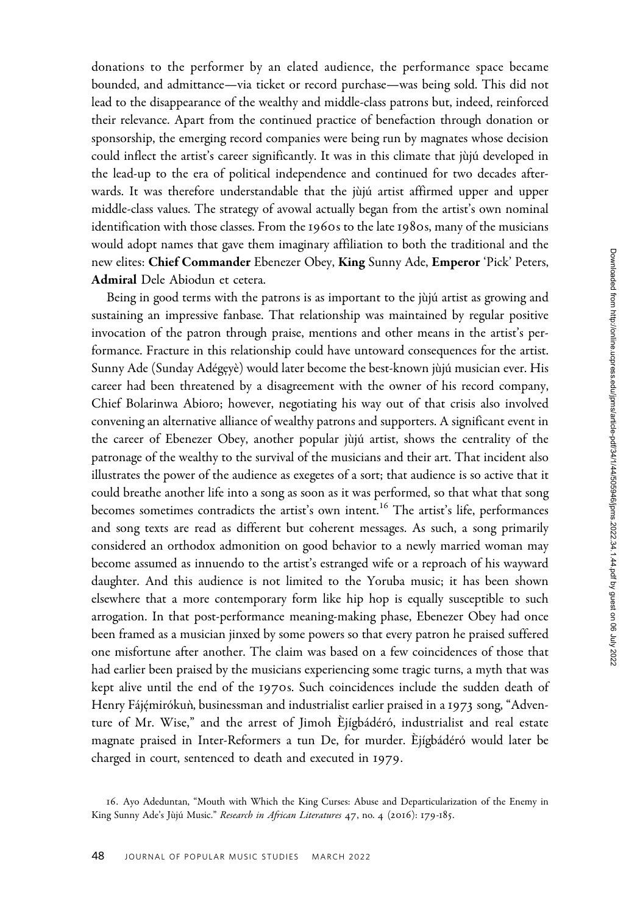donations to the performer by an elated audience, the performance space became bounded, and admittance—via ticket or record purchase—was being sold. This did not lead to the disappearance of the wealthy and middle-class patrons but, indeed, reinforced their relevance. Apart from the continued practice of benefaction through donation or sponsorship, the emerging record companies were being run by magnates whose decision could inflect the artist's career significantly. It was in this climate that jùjú developed in the lead-up to the era of political independence and continued for two decades afterwards. It was therefore understandable that the jùjú artist affirmed upper and upper middle-class values. The strategy of avowal actually began from the artist's own nominal identification with those classes. From the 1960s to the late 1980s, many of the musicians would adopt names that gave them imaginary affiliation to both the traditional and the new elites: Chief Commander Ebenezer Obey, King Sunny Ade, Emperor 'Pick' Peters, Admiral Dele Abiodun et cetera.

Being in good terms with the patrons is as important to the jùjú artist as growing and sustaining an impressive fanbase. That relationship was maintained by regular positive invocation of the patron through praise, mentions and other means in the artist's performance. Fracture in this relationship could have untoward consequences for the artist. Sunny Ade (Sunday Adégeyè) would later become the best-known jùjú musician ever. His ̩ career had been threatened by a disagreement with the owner of his record company, Chief Bolarinwa Abioro; however, negotiating his way out of that crisis also involved convening an alternative alliance of wealthy patrons and supporters. A significant event in the career of Ebenezer Obey, another popular jùjú artist, shows the centrality of the patronage of the wealthy to the survival of the musicians and their art. That incident also illustrates the power of the audience as exegetes of a sort; that audience is so active that it could breathe another life into a song as soon as it was performed, so that what that song becomes sometimes contradicts the artist's own intent.<sup>16</sup> The artist's life, performances and song texts are read as different but coherent messages. As such, a song primarily considered an orthodox admonition on good behavior to a newly married woman may become assumed as innuendo to the artist's estranged wife or a reproach of his wayward daughter. And this audience is not limited to the Yoruba music; it has been shown elsewhere that a more contemporary form like hip hop is equally susceptible to such arrogation. In that post-performance meaning-making phase, Ebenezer Obey had once been framed as a musician jinxed by some powers so that every patron he praised suffered one misfortune after another. The claim was based on a few coincidences of those that had earlier been praised by the musicians experiencing some tragic turns, a myth that was kept alive until the end of the 1970s. Such coincidences include the sudden death of Henry Fájémirókun, businessman and industrialist earlier praised in a 1973 song, "Adventure of Mr. Wise," and the arrest of Jimoh Èjígbádéró, industrialist and real estate magnate praised in Inter-Reformers a tun De, for murder. Èjígbádéró would later be charged in court, sentenced to death and executed in 1979.

<sup>16</sup>. Ayo Adeduntan, "Mouth with Which the King Curses: Abuse and Departicularization of the Enemy in King Sunny Ade's Jùjú Music." Research in African Literatures 47, no. 4 (2016): 179-185.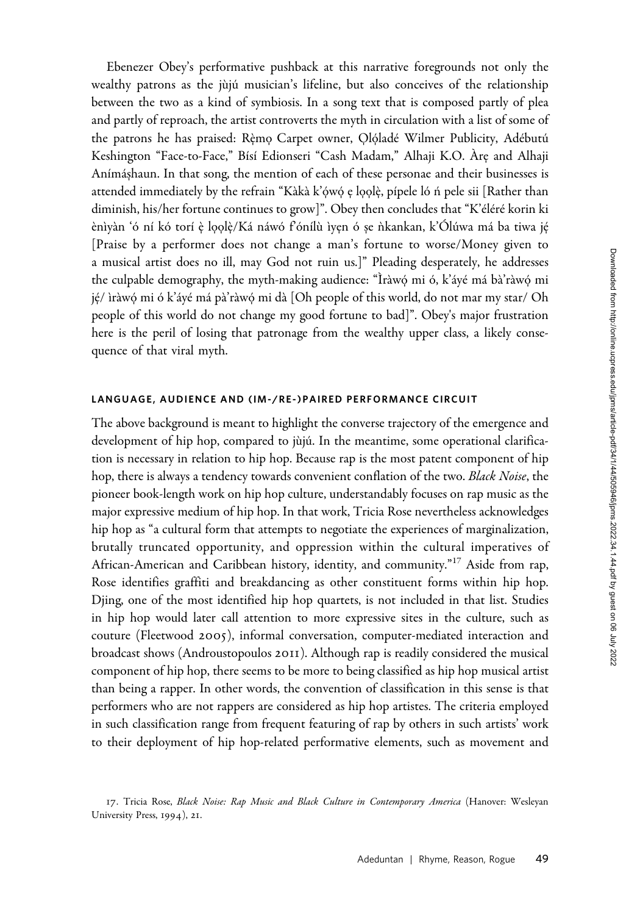Ebenezer Obey's performative pushback at this narrative foregrounds not only the wealthy patrons as the jùjú musician's lifeline, but also conceives of the relationship between the two as a kind of symbiosis. In a song text that is composed partly of plea and partly of reproach, the artist controverts the myth in circulation with a list of some of the patrons he has praised: Rèmo Carpet owner, Qlóladé Wilmer Publicity, Adébutú Keshington "Face-to-Face," Bísí Edionseri "Cash Madam," Alhaji K.O. Àre and Alhaji Anímáshaun. In that song, the mention of each of these personae and their businesses is ̩ attended immediately by the refrain "Kàkà k'ówó e loolè, pípele ló n pele sii [Rather than diminish, his/her fortune continues to grow]". Obey then concludes that "K'éléré korin ki ènìyàn 'ó ní kó torí è lọọlè/Ká náwó f'ónílù ìyẹn ó ṣe ṅkankan, k'Ólúwa má ba tiwa jé [Praise by a performer does not change a man's fortune to worse/Money given to a musical artist does no ill, may God not ruin us.]" Pleading desperately, he addresses the culpable demography, the myth-making audience: "Ìràwó mi ó, k'áyé má bà'ràwó mi jé/ ìràwó mi ó k'áyé má pà'ràwó mi dà [Oh people of this world, do not mar my star/ Oh people of this world do not change my good fortune to bad]". Obey's major frustration here is the peril of losing that patronage from the wealthy upper class, a likely consequence of that viral myth.

### LANGUAGE, AUDIENCE AND (IM-/RE-)PAIRED PERFORMANCE CIRCUIT

The above background is meant to highlight the converse trajectory of the emergence and development of hip hop, compared to jùjú. In the meantime, some operational clarification is necessary in relation to hip hop. Because rap is the most patent component of hip hop, there is always a tendency towards convenient conflation of the two. Black Noise, the pioneer book-length work on hip hop culture, understandably focuses on rap music as the major expressive medium of hip hop. In that work, Tricia Rose nevertheless acknowledges hip hop as "a cultural form that attempts to negotiate the experiences of marginalization, brutally truncated opportunity, and oppression within the cultural imperatives of African-American and Caribbean history, identity, and community." <sup>17</sup> Aside from rap, Rose identifies graffiti and breakdancing as other constituent forms within hip hop. Djing, one of the most identified hip hop quartets, is not included in that list. Studies in hip hop would later call attention to more expressive sites in the culture, such as couture (Fleetwood 2005), informal conversation, computer-mediated interaction and broadcast shows (Androustopoulos 2011). Although rap is readily considered the musical component of hip hop, there seems to be more to being classified as hip hop musical artist than being a rapper. In other words, the convention of classification in this sense is that performers who are not rappers are considered as hip hop artistes. The criteria employed in such classification range from frequent featuring of rap by others in such artists' work to their deployment of hip hop-related performative elements, such as movement and

<sup>17.</sup> Tricia Rose, Black Noise: Rap Music and Black Culture in Contemporary America (Hanover: Wesleyan University Press, 1994), 21.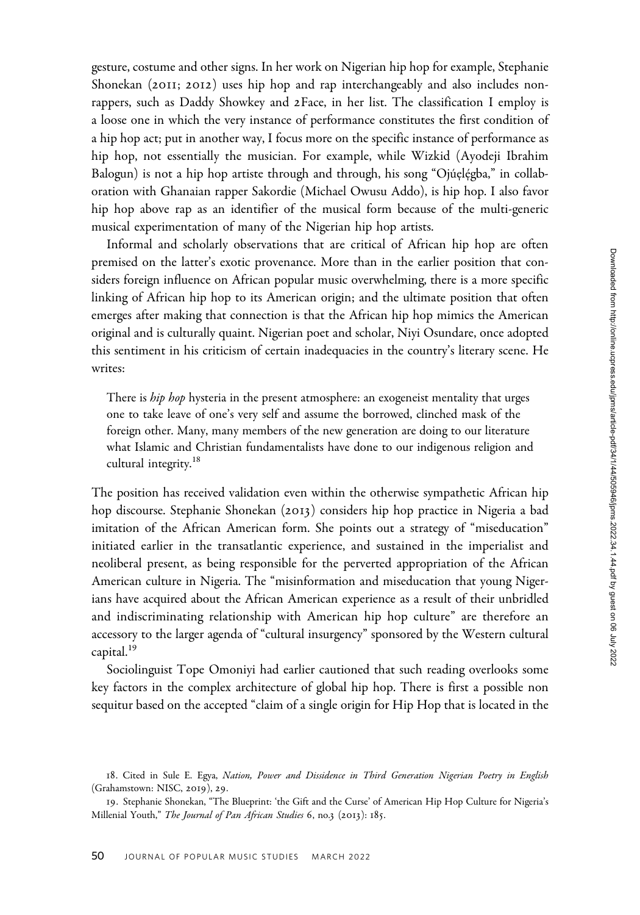gesture, costume and other signs. In her work on Nigerian hip hop for example, Stephanie Shonekan (2011; 2012) uses hip hop and rap interchangeably and also includes nonrappers, such as Daddy Showkey and 2Face, in her list. The classification I employ is a loose one in which the very instance of performance constitutes the first condition of a hip hop act; put in another way, I focus more on the specific instance of performance as hip hop, not essentially the musician. For example, while Wizkid (Ayodeji Ibrahim Balogun) is not a hip hop artiste through and through, his song "Ojúelégba," in collaboration with Ghanaian rapper Sakordie (Michael Owusu Addo), is hip hop. I also favor hip hop above rap as an identifier of the musical form because of the multi-generic musical experimentation of many of the Nigerian hip hop artists.

Informal and scholarly observations that are critical of African hip hop are often premised on the latter's exotic provenance. More than in the earlier position that considers foreign influence on African popular music overwhelming, there is a more specific linking of African hip hop to its American origin; and the ultimate position that often emerges after making that connection is that the African hip hop mimics the American original and is culturally quaint. Nigerian poet and scholar, Niyi Osundare, once adopted this sentiment in his criticism of certain inadequacies in the country's literary scene. He writes:

There is hip hop hysteria in the present atmosphere: an exogeneist mentality that urges one to take leave of one's very self and assume the borrowed, clinched mask of the foreign other. Many, many members of the new generation are doing to our literature what Islamic and Christian fundamentalists have done to our indigenous religion and cultural integrity.<sup>18</sup>

The position has received validation even within the otherwise sympathetic African hip hop discourse. Stephanie Shonekan (2013) considers hip hop practice in Nigeria a bad imitation of the African American form. She points out a strategy of "miseducation" initiated earlier in the transatlantic experience, and sustained in the imperialist and neoliberal present, as being responsible for the perverted appropriation of the African American culture in Nigeria. The "misinformation and miseducation that young Nigerians have acquired about the African American experience as a result of their unbridled and indiscriminating relationship with American hip hop culture" are therefore an accessory to the larger agenda of "cultural insurgency" sponsored by the Western cultural capital.<sup>19</sup>

Sociolinguist Tope Omoniyi had earlier cautioned that such reading overlooks some key factors in the complex architecture of global hip hop. There is first a possible non sequitur based on the accepted "claim of a single origin for Hip Hop that is located in the

<sup>18.</sup> Cited in Sule E. Egya, Nation, Power and Dissidence in Third Generation Nigerian Poetry in English (Grahamstown: NISC, 2019), 29.

<sup>19</sup>. Stephanie Shonekan, "The Blueprint: 'the Gift and the Curse' of American Hip Hop Culture for Nigeria's Millenial Youth," The Journal of Pan African Studies 6, no.3 (2013): 185.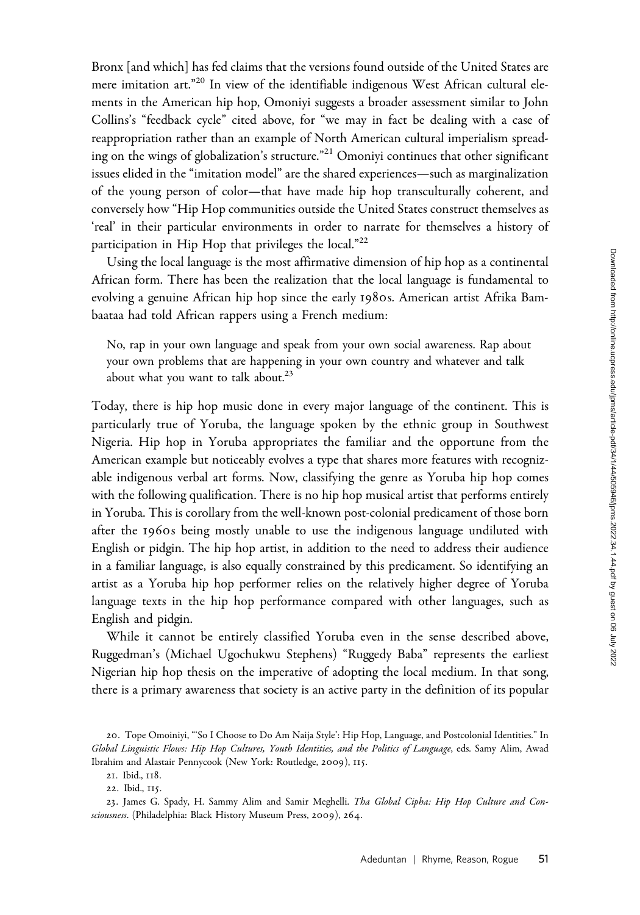Bronx [and which] has fed claims that the versions found outside of the United States are mere imitation art." <sup>20</sup> In view of the identifiable indigenous West African cultural elements in the American hip hop, Omoniyi suggests a broader assessment similar to John Collins's "feedback cycle" cited above, for "we may in fact be dealing with a case of reappropriation rather than an example of North American cultural imperialism spreading on the wings of globalization's structure." <sup>21</sup> Omoniyi continues that other significant issues elided in the "imitation model" are the shared experiences—such as marginalization of the young person of color—that have made hip hop transculturally coherent, and conversely how "Hip Hop communities outside the United States construct themselves as 'real' in their particular environments in order to narrate for themselves a history of participation in Hip Hop that privileges the local." 22

Using the local language is the most affirmative dimension of hip hop as a continental African form. There has been the realization that the local language is fundamental to evolving a genuine African hip hop since the early 1980s. American artist Afrika Bambaataa had told African rappers using a French medium:

No, rap in your own language and speak from your own social awareness. Rap about your own problems that are happening in your own country and whatever and talk about what you want to talk about. $23$ 

Today, there is hip hop music done in every major language of the continent. This is particularly true of Yoruba, the language spoken by the ethnic group in Southwest Nigeria. Hip hop in Yoruba appropriates the familiar and the opportune from the American example but noticeably evolves a type that shares more features with recognizable indigenous verbal art forms. Now, classifying the genre as Yoruba hip hop comes with the following qualification. There is no hip hop musical artist that performs entirely in Yoruba. This is corollary from the well-known post-colonial predicament of those born after the 1960s being mostly unable to use the indigenous language undiluted with English or pidgin. The hip hop artist, in addition to the need to address their audience in a familiar language, is also equally constrained by this predicament. So identifying an artist as a Yoruba hip hop performer relies on the relatively higher degree of Yoruba language texts in the hip hop performance compared with other languages, such as English and pidgin.

While it cannot be entirely classified Yoruba even in the sense described above, Ruggedman's (Michael Ugochukwu Stephens) "Ruggedy Baba" represents the earliest Nigerian hip hop thesis on the imperative of adopting the local medium. In that song, there is a primary awareness that society is an active party in the definition of its popular

<sup>20</sup>. Tope Omoiniyi, "'So I Choose to Do Am Naija Style': Hip Hop, Language, and Postcolonial Identities." In Global Linguistic Flows: Hip Hop Cultures, Youth Identities, and the Politics of Language, eds. Samy Alim, Awad Ibrahim and Alastair Pennycook (New York: Routledge, 2009), 115.

<sup>21</sup>. Ibid., 118.

<sup>22</sup>. Ibid., 115.

<sup>23.</sup> James G. Spady, H. Sammy Alim and Samir Meghelli. Tha Global Cipha: Hip Hop Culture and Consciousness. (Philadelphia: Black History Museum Press, 2009), 264.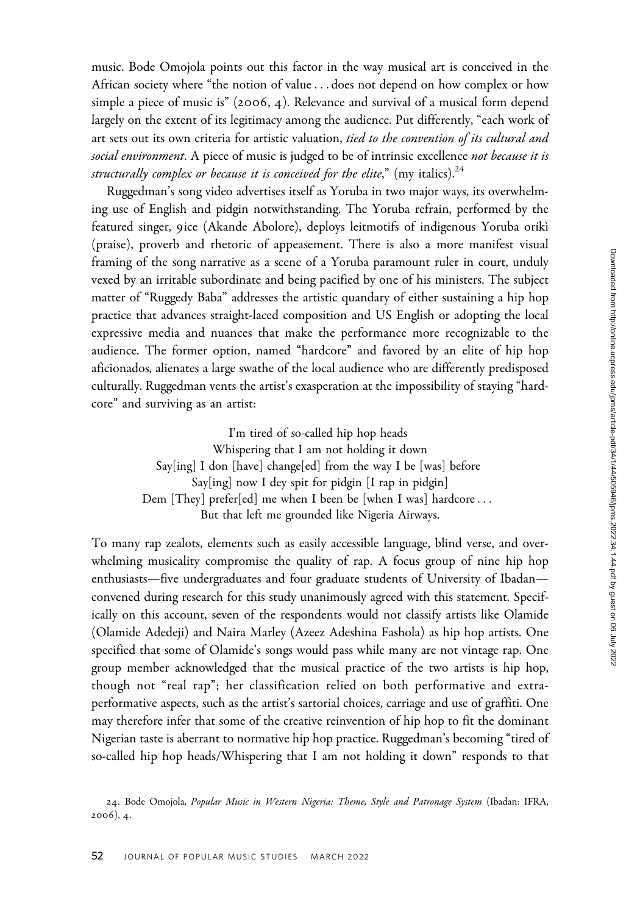music. Bode Omojola points out this factor in the way musical art is conceived in the African society where "the notion of value... does not depend on how complex or how simple a piece of music is" (2006, 4). Relevance and survival of a musical form depend largely on the extent of its legitimacy among the audience. Put differently, "each work of art sets out its own criteria for artistic valuation, tied to the convention of its cultural and social environment. A piece of music is judged to be of intrinsic excellence not because it is structurally complex or because it is conceived for the elite," (my italics).  $^{24}$ 

Ruggedman's song video advertises itself as Yoruba in two major ways, its overwhelming use of English and pidgin notwithstanding. The Yoruba refrain, performed by the featured singer, 9ice (Akande Abolore), deploys leitmotifs of indigenous Yoruba oríkì (praise), proverb and rhetoric of appeasement. There is also a more manifest visual framing of the song narrative as a scene of a Yoruba paramount ruler in court, unduly vexed by an irritable subordinate and being pacified by one of his ministers. The subject matter of "Ruggedy Baba" addresses the artistic quandary of either sustaining a hip hop practice that advances straight-laced composition and US English or adopting the local expressive media and nuances that make the performance more recognizable to the audience. The former option, named "hardcore" and favored by an elite of hip hop aficionados, alienates a large swathe of the local audience who are differently predisposed culturally. Ruggedman vents the artist's exasperation at the impossibility of staying "hardcore" and surviving as an artist:

> I'm tired of so-called hip hop heads Whispering that I am not holding it down Say[ing] I don [have] change[ed] from the way I be [was] before Say[ing] now I dey spit for pidgin [I rap in pidgin] Dem [They] prefer[ed] me when I been be [when I was] hardcore... But that left me grounded like Nigeria Airways.

To many rap zealots, elements such as easily accessible language, blind verse, and overwhelming musicality compromise the quality of rap. A focus group of nine hip hop enthusiasts—five undergraduates and four graduate students of University of Ibadan convened during research for this study unanimously agreed with this statement. Specifically on this account, seven of the respondents would not classify artists like Olamide (Olamide Adedeji) and Naira Marley (Azeez Adeshina Fashola) as hip hop artists. One specified that some of Olamide's songs would pass while many are not vintage rap. One group member acknowledged that the musical practice of the two artists is hip hop, though not "real rap"; her classification relied on both performative and extraperformative aspects, such as the artist's sartorial choices, carriage and use of graffiti. One may therefore infer that some of the creative reinvention of hip hop to fit the dominant Nigerian taste is aberrant to normative hip hop practice. Ruggedman's becoming "tired of so-called hip hop heads/Whispering that I am not holding it down" responds to that

<sup>24.</sup> Bode Omojola, Popular Music in Western Nigeria: Theme, Style and Patronage System (Ibadan: IFRA, 2006), 4.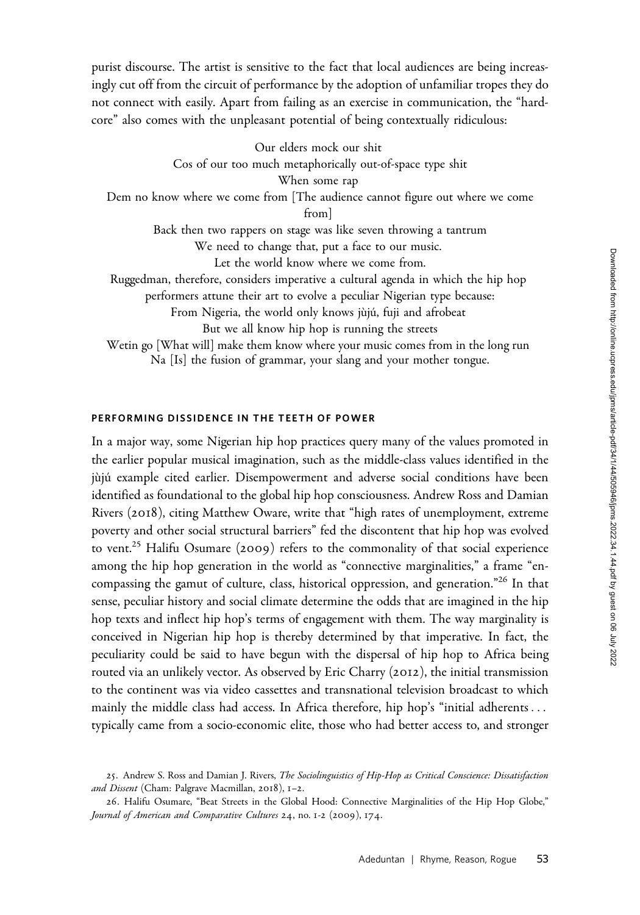purist discourse. The artist is sensitive to the fact that local audiences are being increasingly cut off from the circuit of performance by the adoption of unfamiliar tropes they do not connect with easily. Apart from failing as an exercise in communication, the "hardcore" also comes with the unpleasant potential of being contextually ridiculous:

Our elders mock our shit Cos of our too much metaphorically out-of-space type shit When some rap Dem no know where we come from [The audience cannot figure out where we come from] Back then two rappers on stage was like seven throwing a tantrum We need to change that, put a face to our music. Let the world know where we come from. Ruggedman, therefore, considers imperative a cultural agenda in which the hip hop performers attune their art to evolve a peculiar Nigerian type because: From Nigeria, the world only knows jùjú, fuji and afrobeat But we all know hip hop is running the streets Wetin go [What will] make them know where your music comes from in the long run Na [Is] the fusion of grammar, your slang and your mother tongue.

In a major way, some Nigerian hip hop practices query many of the values promoted in the earlier popular musical imagination, such as the middle-class values identified in the jùjú example cited earlier. Disempowerment and adverse social conditions have been identified as foundational to the global hip hop consciousness. Andrew Ross and Damian Rivers (2018), citing Matthew Oware, write that "high rates of unemployment, extreme poverty and other social structural barriers" fed the discontent that hip hop was evolved to vent.<sup>25</sup> Halifu Osumare (2009) refers to the commonality of that social experience among the hip hop generation in the world as "connective marginalities," a frame "encompassing the gamut of culture, class, historical oppression, and generation." <sup>26</sup> In that sense, peculiar history and social climate determine the odds that are imagined in the hip hop texts and inflect hip hop's terms of engagement with them. The way marginality is conceived in Nigerian hip hop is thereby determined by that imperative. In fact, the peculiarity could be said to have begun with the dispersal of hip hop to Africa being routed via an unlikely vector. As observed by Eric Charry (2012), the initial transmission to the continent was via video cassettes and transnational television broadcast to which mainly the middle class had access. In Africa therefore, hip hop's "initial adherents ... typically came from a socio-economic elite, those who had better access to, and stronger

<sup>25.</sup> Andrew S. Ross and Damian J. Rivers, The Sociolinguistics of Hip-Hop as Critical Conscience: Dissatisfaction and Dissent (Cham: Palgrave Macmillan, 2018), 1-2.

<sup>26</sup>. Halifu Osumare, "Beat Streets in the Global Hood: Connective Marginalities of the Hip Hop Globe," Journal of American and Comparative Cultures 24, no. 1-2 (2009), 174.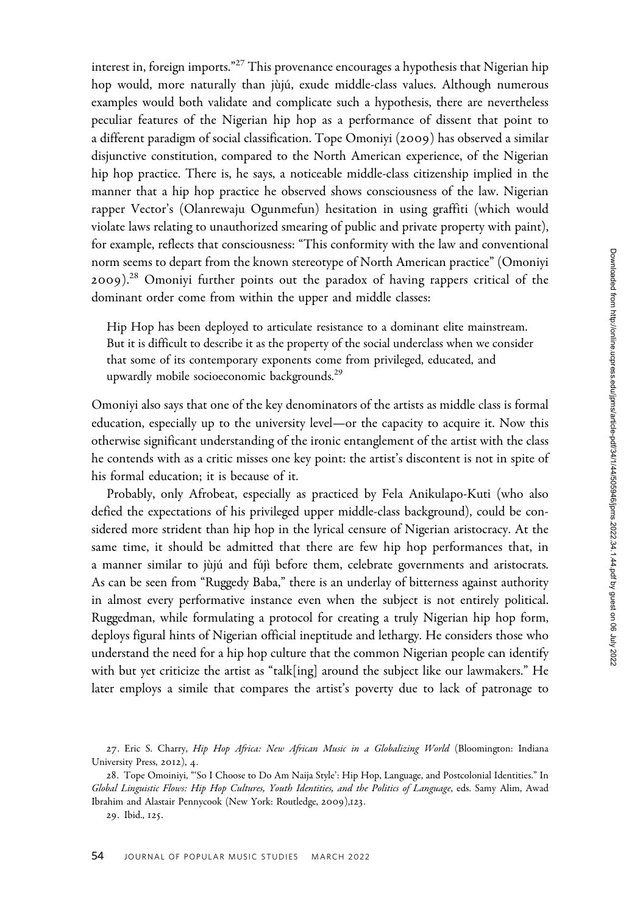interest in, foreign imports." <sup>27</sup> This provenance encourages a hypothesis that Nigerian hip hop would, more naturally than jùjú, exude middle-class values. Although numerous examples would both validate and complicate such a hypothesis, there are nevertheless peculiar features of the Nigerian hip hop as a performance of dissent that point to a different paradigm of social classification. Tope Omoniyi (2009) has observed a similar disjunctive constitution, compared to the North American experience, of the Nigerian hip hop practice. There is, he says, a noticeable middle-class citizenship implied in the manner that a hip hop practice he observed shows consciousness of the law. Nigerian rapper Vector's (Olanrewaju Ogunmefun) hesitation in using graffiti (which would violate laws relating to unauthorized smearing of public and private property with paint), for example, reflects that consciousness: "This conformity with the law and conventional norm seems to depart from the known stereotype of North American practice" (Omoniyi 2009).<sup>28</sup> Omoniyi further points out the paradox of having rappers critical of the dominant order come from within the upper and middle classes:

Hip Hop has been deployed to articulate resistance to a dominant elite mainstream. But it is difficult to describe it as the property of the social underclass when we consider that some of its contemporary exponents come from privileged, educated, and upwardly mobile socioeconomic backgrounds.<sup>29</sup>

Omoniyi also says that one of the key denominators of the artists as middle class is formal education, especially up to the university level—or the capacity to acquire it. Now this otherwise significant understanding of the ironic entanglement of the artist with the class he contends with as a critic misses one key point: the artist's discontent is not in spite of his formal education; it is because of it.

Probably, only Afrobeat, especially as practiced by Fela Anikulapo-Kuti (who also defied the expectations of his privileged upper middle-class background), could be considered more strident than hip hop in the lyrical censure of Nigerian aristocracy. At the same time, it should be admitted that there are few hip hop performances that, in a manner similar to jùjú and fújì before them, celebrate governments and aristocrats. As can be seen from "Ruggedy Baba," there is an underlay of bitterness against authority in almost every performative instance even when the subject is not entirely political. Ruggedman, while formulating a protocol for creating a truly Nigerian hip hop form, deploys figural hints of Nigerian official ineptitude and lethargy. He considers those who understand the need for a hip hop culture that the common Nigerian people can identify with but yet criticize the artist as "talk[ing] around the subject like our lawmakers." He later employs a simile that compares the artist's poverty due to lack of patronage to

<sup>27.</sup> Eric S. Charry, Hip Hop Africa: New African Music in a Globalizing World (Bloomington: Indiana University Press, 2012), 4.

<sup>28</sup>. Tope Omoiniyi, "'So I Choose to Do Am Naija Style': Hip Hop, Language, and Postcolonial Identities." In Global Linguistic Flows: Hip Hop Cultures, Youth Identities, and the Politics of Language, eds. Samy Alim, Awad Ibrahim and Alastair Pennycook (New York: Routledge, 2009),123.

<sup>29</sup>. Ibid., 125.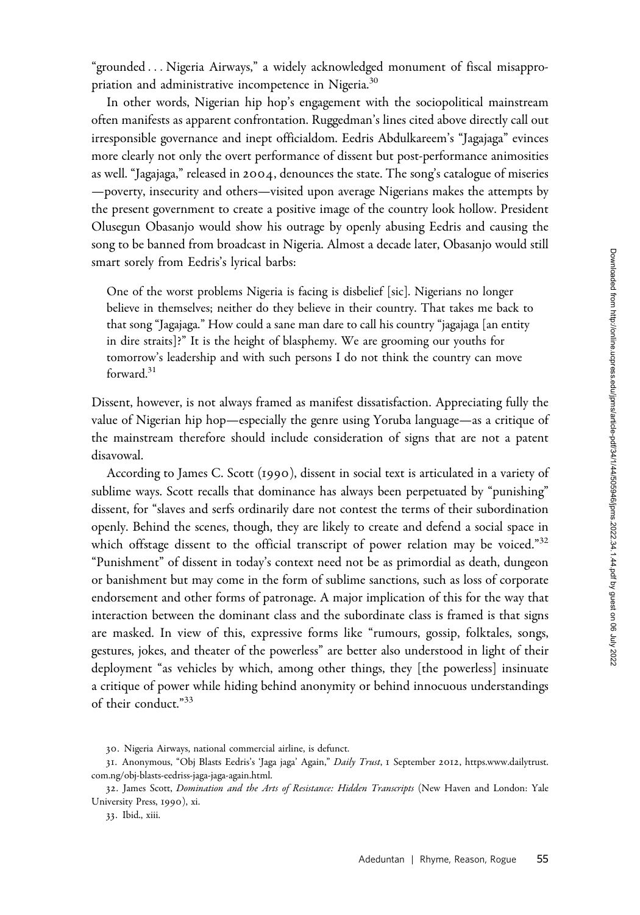"grounded ... Nigeria Airways," a widely acknowledged monument of fiscal misappropriation and administrative incompetence in Nigeria.<sup>30</sup>

In other words, Nigerian hip hop's engagement with the sociopolitical mainstream often manifests as apparent confrontation. Ruggedman's lines cited above directly call out irresponsible governance and inept officialdom. Eedris Abdulkareem's "Jagajaga" evinces more clearly not only the overt performance of dissent but post-performance animosities as well. "Jagajaga," released in 2004, denounces the state. The song's catalogue of miseries —poverty, insecurity and others—visited upon average Nigerians makes the attempts by the present government to create a positive image of the country look hollow. President Olusegun Obasanjo would show his outrage by openly abusing Eedris and causing the song to be banned from broadcast in Nigeria. Almost a decade later, Obasanjo would still smart sorely from Eedris's lyrical barbs:

One of the worst problems Nigeria is facing is disbelief [sic]. Nigerians no longer believe in themselves; neither do they believe in their country. That takes me back to that song "Jagajaga." How could a sane man dare to call his country "jagajaga [an entity in dire straits]?" It is the height of blasphemy. We are grooming our youths for tomorrow's leadership and with such persons I do not think the country can move forward.<sup>31</sup>

Dissent, however, is not always framed as manifest dissatisfaction. Appreciating fully the value of Nigerian hip hop—especially the genre using Yoruba language—as a critique of the mainstream therefore should include consideration of signs that are not a patent disavowal.

According to James C. Scott (1990), dissent in social text is articulated in a variety of sublime ways. Scott recalls that dominance has always been perpetuated by "punishing" dissent, for "slaves and serfs ordinarily dare not contest the terms of their subordination openly. Behind the scenes, though, they are likely to create and defend a social space in which offstage dissent to the official transcript of power relation may be voiced."32 "Punishment" of dissent in today's context need not be as primordial as death, dungeon or banishment but may come in the form of sublime sanctions, such as loss of corporate endorsement and other forms of patronage. A major implication of this for the way that interaction between the dominant class and the subordinate class is framed is that signs are masked. In view of this, expressive forms like "rumours, gossip, folktales, songs, gestures, jokes, and theater of the powerless" are better also understood in light of their deployment "as vehicles by which, among other things, they [the powerless] insinuate a critique of power while hiding behind anonymity or behind innocuous understandings of their conduct." 33

<sup>30</sup>. Nigeria Airways, national commercial airline, is defunct.

<sup>31.</sup> Anonymous, "Obj Blasts Eedris's 'Jaga jaga' Again," Daily Trust, 1 September 2012, [https.www.dailytrust.](https.www.dailytrust.com.ng/obj-blasts-eedriss-jaga-jaga-again.html) [com.ng/obj-blasts-eedriss-jaga-jaga-again.html.](https.www.dailytrust.com.ng/obj-blasts-eedriss-jaga-jaga-again.html)

<sup>32.</sup> James Scott, Domination and the Arts of Resistance: Hidden Transcripts (New Haven and London: Yale University Press, 1990), xi.

<sup>33</sup>. Ibid., xiii.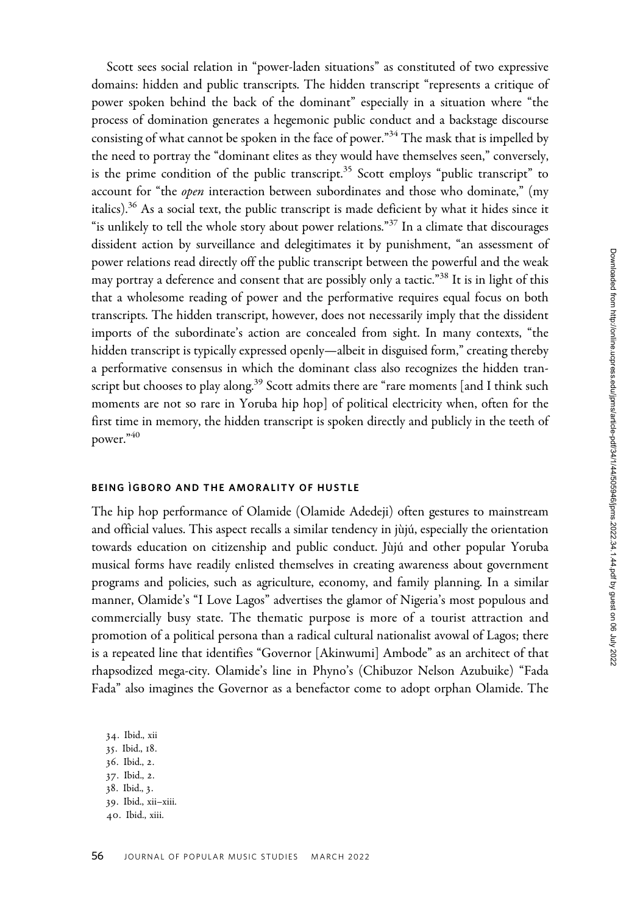Scott sees social relation in "power-laden situations" as constituted of two expressive domains: hidden and public transcripts. The hidden transcript "represents a critique of power spoken behind the back of the dominant" especially in a situation where "the process of domination generates a hegemonic public conduct and a backstage discourse consisting of what cannot be spoken in the face of power."<sup>34</sup> The mask that is impelled by the need to portray the "dominant elites as they would have themselves seen," conversely, is the prime condition of the public transcript.<sup>35</sup> Scott employs "public transcript" to account for "the open interaction between subordinates and those who dominate," (my italics).<sup>36</sup> As a social text, the public transcript is made deficient by what it hides since it "is unlikely to tell the whole story about power relations."<sup>37</sup> In a climate that discourages dissident action by surveillance and delegitimates it by punishment, "an assessment of power relations read directly off the public transcript between the powerful and the weak may portray a deference and consent that are possibly only a tactic."<sup>38</sup> It is in light of this that a wholesome reading of power and the performative requires equal focus on both transcripts. The hidden transcript, however, does not necessarily imply that the dissident imports of the subordinate's action are concealed from sight. In many contexts, "the hidden transcript is typically expressed openly—albeit in disguised form," creating thereby a performative consensus in which the dominant class also recognizes the hidden transcript but chooses to play along.<sup>39</sup> Scott admits there are "rare moments [and I think such moments are not so rare in Yoruba hip hop] of political electricity when, often for the first time in memory, the hidden transcript is spoken directly and publicly in the teeth of power." 40

The hip hop performance of Olamide (Olamide Adedeji) often gestures to mainstream and official values. This aspect recalls a similar tendency in jùjú, especially the orientation towards education on citizenship and public conduct. Jùjú and other popular Yoruba musical forms have readily enlisted themselves in creating awareness about government programs and policies, such as agriculture, economy, and family planning. In a similar manner, Olamide's "I Love Lagos" advertises the glamor of Nigeria's most populous and commercially busy state. The thematic purpose is more of a tourist attraction and promotion of a political persona than a radical cultural nationalist avowal of Lagos; there is a repeated line that identifies "Governor [Akinwumi] Ambode" as an architect of that rhapsodized mega-city. Olamide's line in Phyno's (Chibuzor Nelson Azubuike) "Fada Fada" also imagines the Governor as a benefactor come to adopt orphan Olamide. The

. Ibid., xii . Ibid., 18. . Ibid., 2. . Ibid., 2. . Ibid., 3. . Ibid., xii–xiii. . Ibid., xiii.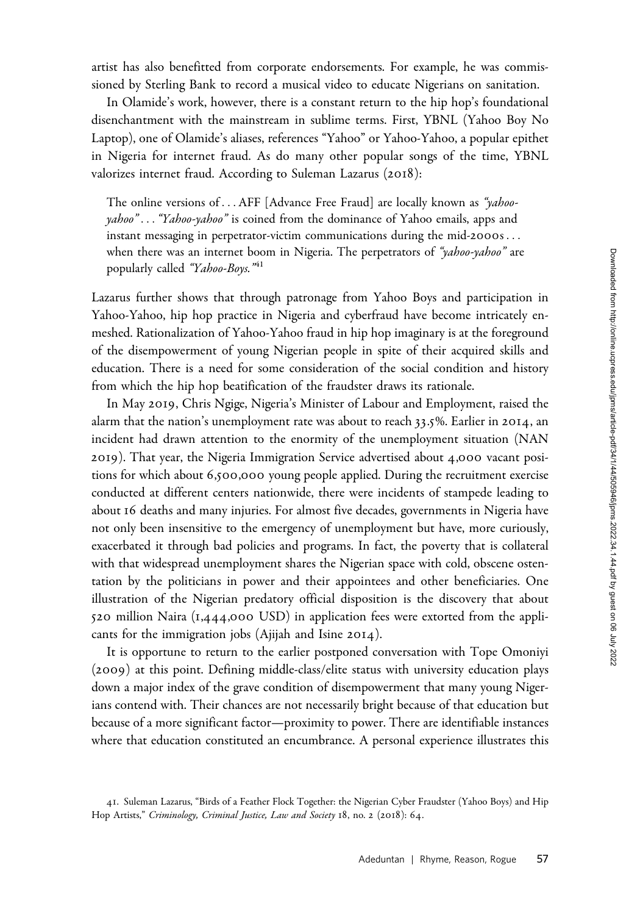artist has also benefitted from corporate endorsements. For example, he was commissioned by Sterling Bank to record a musical video to educate Nigerians on sanitation.

In Olamide's work, however, there is a constant return to the hip hop's foundational disenchantment with the mainstream in sublime terms. First, YBNL (Yahoo Boy No Laptop), one of Olamide's aliases, references "Yahoo" or Yahoo-Yahoo, a popular epithet in Nigeria for internet fraud. As do many other popular songs of the time, YBNL valorizes internet fraud. According to Suleman Lazarus (2018):

The online versions of . . . AFF [Advance Free Fraud] are locally known as "yahooyahoo"... "Yahoo-yahoo" is coined from the dominance of Yahoo emails, apps and instant messaging in perpetrator-victim communications during the mid-2000s ... when there was an internet boom in Nigeria. The perpetrators of "yahoo-yahoo" are popularly called "Yahoo-Boys."<sup>41</sup>

Lazarus further shows that through patronage from Yahoo Boys and participation in Yahoo-Yahoo, hip hop practice in Nigeria and cyberfraud have become intricately enmeshed. Rationalization of Yahoo-Yahoo fraud in hip hop imaginary is at the foreground of the disempowerment of young Nigerian people in spite of their acquired skills and education. There is a need for some consideration of the social condition and history from which the hip hop beatification of the fraudster draws its rationale.

In May 2019, Chris Ngige, Nigeria's Minister of Labour and Employment, raised the alarm that the nation's unemployment rate was about to reach 33.5%. Earlier in 2014, an incident had drawn attention to the enormity of the unemployment situation (NAN 2019). That year, the Nigeria Immigration Service advertised about 4,000 vacant positions for which about 6,500,000 young people applied. During the recruitment exercise conducted at different centers nationwide, there were incidents of stampede leading to about 16 deaths and many injuries. For almost five decades, governments in Nigeria have not only been insensitive to the emergency of unemployment but have, more curiously, exacerbated it through bad policies and programs. In fact, the poverty that is collateral with that widespread unemployment shares the Nigerian space with cold, obscene ostentation by the politicians in power and their appointees and other beneficiaries. One illustration of the Nigerian predatory official disposition is the discovery that about 520 million Naira (1,444,000 USD) in application fees were extorted from the applicants for the immigration jobs (Ajijah and Isine 2014).

It is opportune to return to the earlier postponed conversation with Tope Omoniyi (2009) at this point. Defining middle-class/elite status with university education plays down a major index of the grave condition of disempowerment that many young Nigerians contend with. Their chances are not necessarily bright because of that education but because of a more significant factor—proximity to power. There are identifiable instances where that education constituted an encumbrance. A personal experience illustrates this

<sup>41</sup>. Suleman Lazarus, "Birds of a Feather Flock Together: the Nigerian Cyber Fraudster (Yahoo Boys) and Hip Hop Artists," Criminology, Criminal Justice, Law and Society 18, no. 2 (2018): 64.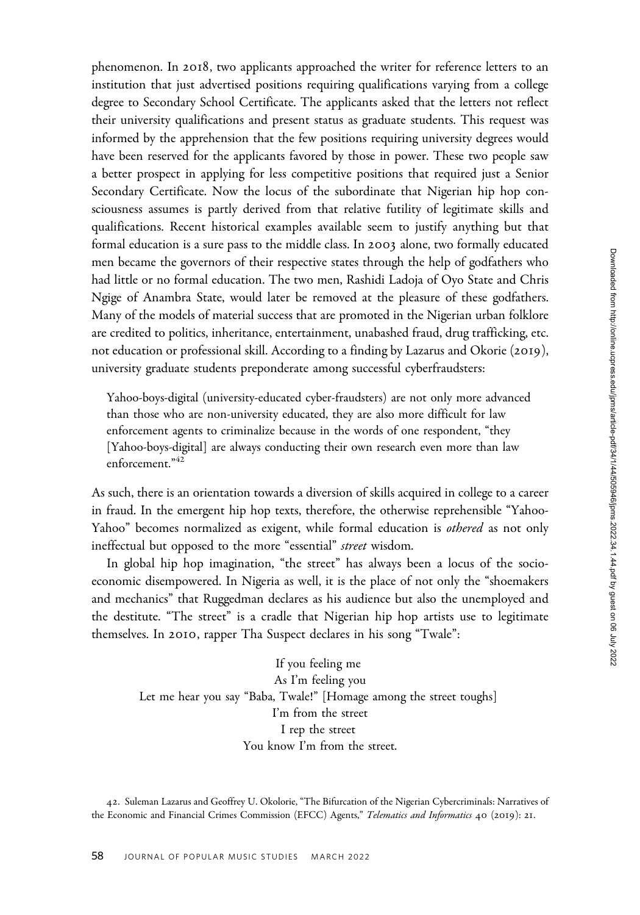phenomenon. In 2018, two applicants approached the writer for reference letters to an institution that just advertised positions requiring qualifications varying from a college degree to Secondary School Certificate. The applicants asked that the letters not reflect their university qualifications and present status as graduate students. This request was informed by the apprehension that the few positions requiring university degrees would have been reserved for the applicants favored by those in power. These two people saw a better prospect in applying for less competitive positions that required just a Senior Secondary Certificate. Now the locus of the subordinate that Nigerian hip hop consciousness assumes is partly derived from that relative futility of legitimate skills and qualifications. Recent historical examples available seem to justify anything but that formal education is a sure pass to the middle class. In 2003 alone, two formally educated men became the governors of their respective states through the help of godfathers who had little or no formal education. The two men, Rashidi Ladoja of Oyo State and Chris Ngige of Anambra State, would later be removed at the pleasure of these godfathers. Many of the models of material success that are promoted in the Nigerian urban folklore are credited to politics, inheritance, entertainment, unabashed fraud, drug trafficking, etc. not education or professional skill. According to a finding by Lazarus and Okorie (2019), university graduate students preponderate among successful cyberfraudsters:

Yahoo-boys-digital (university-educated cyber-fraudsters) are not only more advanced than those who are non-university educated, they are also more difficult for law enforcement agents to criminalize because in the words of one respondent, "they [Yahoo-boys-digital] are always conducting their own research even more than law enforcement." 42

As such, there is an orientation towards a diversion of skills acquired in college to a career in fraud. In the emergent hip hop texts, therefore, the otherwise reprehensible "Yahoo-Yahoo" becomes normalized as exigent, while formal education is *othered* as not only ineffectual but opposed to the more "essential" street wisdom.

In global hip hop imagination, "the street" has always been a locus of the socioeconomic disempowered. In Nigeria as well, it is the place of not only the "shoemakers and mechanics" that Ruggedman declares as his audience but also the unemployed and the destitute. "The street" is a cradle that Nigerian hip hop artists use to legitimate themselves. In 2010, rapper Tha Suspect declares in his song "Twale":

> If you feeling me As I'm feeling you Let me hear you say "Baba, Twale!" [Homage among the street toughs] I'm from the street I rep the street You know I'm from the street.

<sup>42</sup>. Suleman Lazarus and Geoffrey U. Okolorie, "The Bifurcation of the Nigerian Cybercriminals: Narratives of the Economic and Financial Crimes Commission (EFCC) Agents," Telematics and Informatics 40 (2019): 21.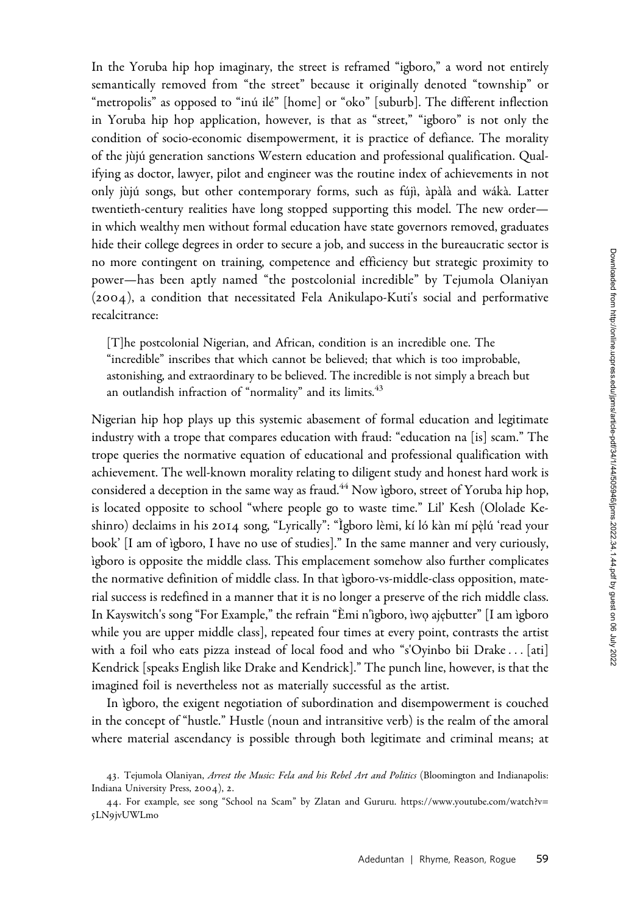In the Yoruba hip hop imaginary, the street is reframed "igboro," a word not entirely semantically removed from "the street" because it originally denoted "township" or "metropolis" as opposed to "inú ilé" [home] or "oko" [suburb]. The different inflection in Yoruba hip hop application, however, is that as "street," "igboro" is not only the condition of socio-economic disempowerment, it is practice of defiance. The morality of the jùjú generation sanctions Western education and professional qualification. Qualifying as doctor, lawyer, pilot and engineer was the routine index of achievements in not only jùjú songs, but other contemporary forms, such as fújì, àpàlà and wákà. Latter twentieth-century realities have long stopped supporting this model. The new order in which wealthy men without formal education have state governors removed, graduates hide their college degrees in order to secure a job, and success in the bureaucratic sector is no more contingent on training, competence and efficiency but strategic proximity to power—has been aptly named "the postcolonial incredible" by Tejumola Olaniyan (2004), a condition that necessitated Fela Anikulapo-Kuti's social and performative recalcitrance:

[T]he postcolonial Nigerian, and African, condition is an incredible one. The "incredible" inscribes that which cannot be believed; that which is too improbable, astonishing, and extraordinary to be believed. The incredible is not simply a breach but an outlandish infraction of "normality" and its limits. $43$ 

Nigerian hip hop plays up this systemic abasement of formal education and legitimate industry with a trope that compares education with fraud: "education na [is] scam." The trope queries the normative equation of educational and professional qualification with achievement. The well-known morality relating to diligent study and honest hard work is considered a deception in the same way as fraud.<sup>44</sup> Now ìgboro, street of Yoruba hip hop, is located opposite to school "where people go to waste time." Lil' Kesh (Ololade Keshinro) declaims in his 2014 song, "Lyrically": "Ìgboro lèmi, kí ló kàn mí pèlú̩ 'read your book' [I am of ìgboro, I have no use of studies]." In the same manner and very curiously, ìgboro is opposite the middle class. This emplacement somehow also further complicates the normative definition of middle class. In that ìgboro-vs-middle-class opposition, material success is redefined in a manner that it is no longer a preserve of the rich middle class. In Kayswitch's song "For Example," the refrain "Èmi n'ìgboro, ìwo ajebutter" [I am ìgboro while you are upper middle class], repeated four times at every point, contrasts the artist with a foil who eats pizza instead of local food and who "s'Oyinbo bii Drake... [ati] Kendrick [speaks English like Drake and Kendrick]." The punch line, however, is that the imagined foil is nevertheless not as materially successful as the artist.

In ìgboro, the exigent negotiation of subordination and disempowerment is couched in the concept of "hustle." Hustle (noun and intransitive verb) is the realm of the amoral where material ascendancy is possible through both legitimate and criminal means; at

<sup>43.</sup> Tejumola Olaniyan, Arrest the Music: Fela and his Rebel Art and Politics (Bloomington and Indianapolis: Indiana University Press, 2004), 2.

<sup>44</sup>. For example, see song "School na Scam" by Zlatan and Gururu. [https://www.youtube.com/watch?v=](https://www.youtube.com/watch?v=5LN9jvUWLmo) 5LN9[jvUWLmo](https://www.youtube.com/watch?v=5LN9jvUWLmo)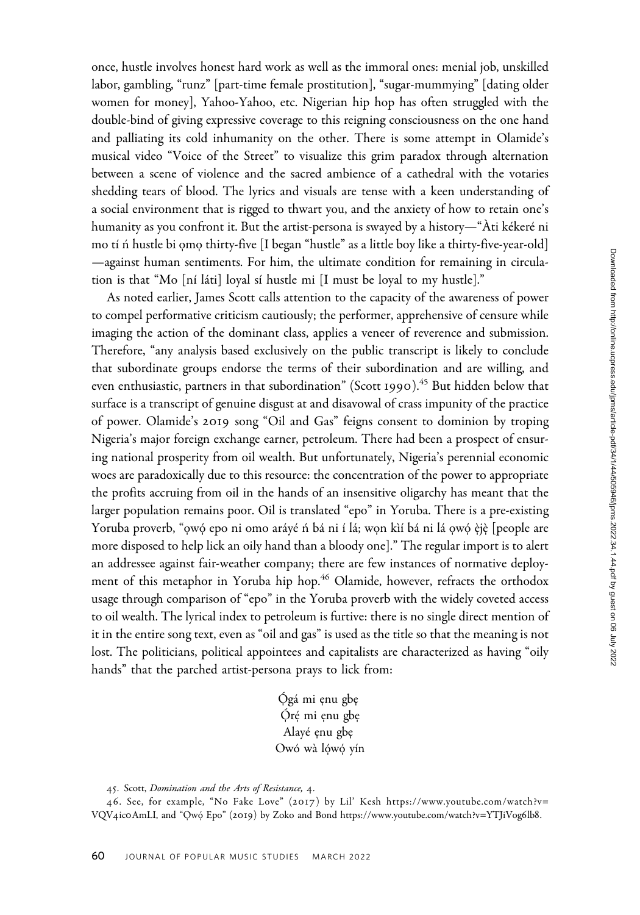once, hustle involves honest hard work as well as the immoral ones: menial job, unskilled labor, gambling, "runz" [part-time female prostitution], "sugar-mummying" [dating older women for money], Yahoo-Yahoo, etc. Nigerian hip hop has often struggled with the double-bind of giving expressive coverage to this reigning consciousness on the one hand and palliating its cold inhumanity on the other. There is some attempt in Olamide's musical video "Voice of the Street" to visualize this grim paradox through alternation between a scene of violence and the sacred ambience of a cathedral with the votaries shedding tears of blood. The lyrics and visuals are tense with a keen understanding of a social environment that is rigged to thwart you, and the anxiety of how to retain one's humanity as you confront it. But the artist-persona is swayed by a history—"Àti kékeré ni mo tí ń hustle bi omo thirty-five [I began "hustle" as a little boy like a thirty-five-year-old] —against human sentiments. For him, the ultimate condition for remaining in circulation is that "Mo [ní láti] loyal sí hustle mi [I must be loyal to my hustle]." As noted earlier, James Scott calls attention to the capacity of the awareness of power

to compel performative criticism cautiously; the performer, apprehensive of censure while imaging the action of the dominant class, applies a veneer of reverence and submission. Therefore, "any analysis based exclusively on the public transcript is likely to conclude that subordinate groups endorse the terms of their subordination and are willing, and even enthusiastic, partners in that subordination" (Scott 1990).<sup>45</sup> But hidden below that surface is a transcript of genuine disgust at and disavowal of crass impunity of the practice of power. Olamide's 2019 song "Oil and Gas" feigns consent to dominion by troping Nigeria's major foreign exchange earner, petroleum. There had been a prospect of ensuring national prosperity from oil wealth. But unfortunately, Nigeria's perennial economic woes are paradoxically due to this resource: the concentration of the power to appropriate the profits accruing from oil in the hands of an insensitive oligarchy has meant that the larger population remains poor. Oil is translated "epo" in Yoruba. There is a pre-existing Yoruba proverb, "owó epo ni omo aráyé ń bá ni í lá; won kìí bá ni lá owó èjè [people are more disposed to help lick an oily hand than a bloody one]." The regular import is to alert an addressee against fair-weather company; there are few instances of normative deployment of this metaphor in Yoruba hip hop.<sup>46</sup> Olamide, however, refracts the orthodox usage through comparison of "epo" in the Yoruba proverb with the widely coveted access to oil wealth. The lyrical index to petroleum is furtive: there is no single direct mention of it in the entire song text, even as "oil and gas" is used as the title so that the meaning is not lost. The politicians, political appointees and capitalists are characterized as having "oily hands" that the parched artist-persona prays to lick from:

> Ógá mi enu gbe Óré mi enu gbe Alayé enu gbe Owó wà lówó yín

<sup>45</sup>. Scott, Domination and the Arts of Resistance, 4.

<sup>4 6</sup>. See, for example, "No Fake Love" (2017 ) by Lil' Kesh [https://www.youtube.com/watch?v=](https://www.youtube.com/watch?v=VQV4ic0AmLI) VQV4ic0[AmLI,](https://www.youtube.com/watch?v=VQV4ic0AmLI) and "O̩wó̩ Epo" (2019) by Zoko and Bond [https://www.youtube.com/watch?v=YTJiVog](https://www.youtube.com/watch?v=YTJiVog6lb8)6lb8.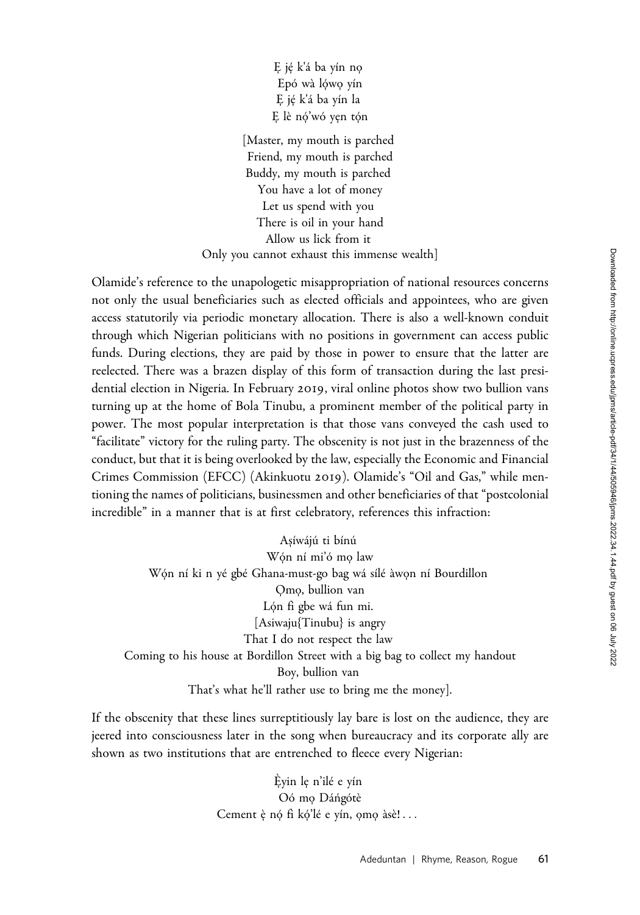E jé k'á ba yín no Epó wà lówo yín E̩ jé̩ k'á ba yín la E lè nó'wó yẹn tón

[Master, my mouth is parched Friend, my mouth is parched Buddy, my mouth is parched You have a lot of money Let us spend with you There is oil in your hand Allow us lick from it Only you cannot exhaust this immense wealth]

Olamide's reference to the unapologetic misappropriation of national resources concerns not only the usual beneficiaries such as elected officials and appointees, who are given access statutorily via periodic monetary allocation. There is also a well-known conduit through which Nigerian politicians with no positions in government can access public funds. During elections, they are paid by those in power to ensure that the latter are reelected. There was a brazen display of this form of transaction during the last presidential election in Nigeria. In February 2019, viral online photos show two bullion vans turning up at the home of Bola Tinubu, a prominent member of the political party in power. The most popular interpretation is that those vans conveyed the cash used to "facilitate" victory for the ruling party. The obscenity is not just in the brazenness of the conduct, but that it is being overlooked by the law, especially the Economic and Financial Crimes Commission (EFCC) (Akinkuotu 2019). Olamide's "Oil and Gas," while mentioning the names of politicians, businessmen and other beneficiaries of that "postcolonial incredible" in a manner that is at first celebratory, references this infraction:

Asíwájú ti bínú ̩ Wón ní mi'ó mọ law Wón ní ki n yé gbé Ghana-must-go bag wá sílé àwon ní Bourdillon Omo, bullion van Lón fi gbe wá fun mi. [Asiwaju{Tinubu} is angry That I do not respect the law Coming to his house at Bordillon Street with a big bag to collect my handout Boy, bullion van That's what he'll rather use to bring me the money].

If the obscenity that these lines surreptitiously lay bare is lost on the audience, they are jeered into consciousness later in the song when bureaucracy and its corporate ally are shown as two institutions that are entrenched to fleece every Nigerian:

> Èyin le n'ilé e yín Oó mo̩ Dáńgótè Cement è nó fi kó'lé e yín, omo àsè!...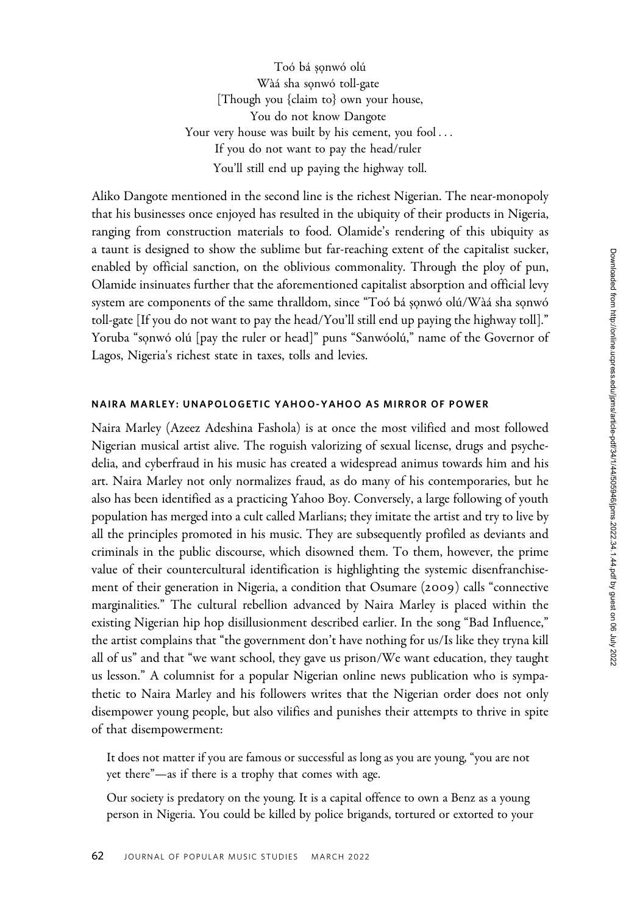Toó bá sonwó olú Wàá sha sonwó toll-gate [Though you {claim to} own your house, You do not know Dangote Your very house was built by his cement, you fool... If you do not want to pay the head/ruler You'll still end up paying the highway toll.

Aliko Dangote mentioned in the second line is the richest Nigerian. The near-monopoly that his businesses once enjoyed has resulted in the ubiquity of their products in Nigeria, ranging from construction materials to food. Olamide's rendering of this ubiquity as a taunt is designed to show the sublime but far-reaching extent of the capitalist sucker, enabled by official sanction, on the oblivious commonality. Through the ploy of pun, Olamide insinuates further that the aforementioned capitalist absorption and official levy system are components of the same thralldom, since "Toó bá sonwó olú/Wàá sha sonwó toll-gate [If you do not want to pay the head/You'll still end up paying the highway toll]." Yoruba "sonwó olú [pay the ruler or head]" puns "Sanwóolú," name of the Governor of Lagos, Nigeria's richest state in taxes, tolls and levies.

Naira Marley (Azeez Adeshina Fashola) is at once the most vilified and most followed Nigerian musical artist alive. The roguish valorizing of sexual license, drugs and psychedelia, and cyberfraud in his music has created a widespread animus towards him and his art. Naira Marley not only normalizes fraud, as do many of his contemporaries, but he also has been identified as a practicing Yahoo Boy. Conversely, a large following of youth population has merged into a cult called Marlians; they imitate the artist and try to live by all the principles promoted in his music. They are subsequently profiled as deviants and criminals in the public discourse, which disowned them. To them, however, the prime value of their countercultural identification is highlighting the systemic disenfranchisement of their generation in Nigeria, a condition that Osumare (2009) calls "connective marginalities." The cultural rebellion advanced by Naira Marley is placed within the existing Nigerian hip hop disillusionment described earlier. In the song "Bad Influence," the artist complains that "the government don't have nothing for us/Is like they tryna kill all of us" and that "we want school, they gave us prison/We want education, they taught us lesson." A columnist for a popular Nigerian online news publication who is sympathetic to Naira Marley and his followers writes that the Nigerian order does not only disempower young people, but also vilifies and punishes their attempts to thrive in spite of that disempowerment:

It does not matter if you are famous or successful as long as you are young, "you are not yet there"—as if there is a trophy that comes with age.

Our society is predatory on the young. It is a capital offence to own a Benz as a young person in Nigeria. You could be killed by police brigands, tortured or extorted to your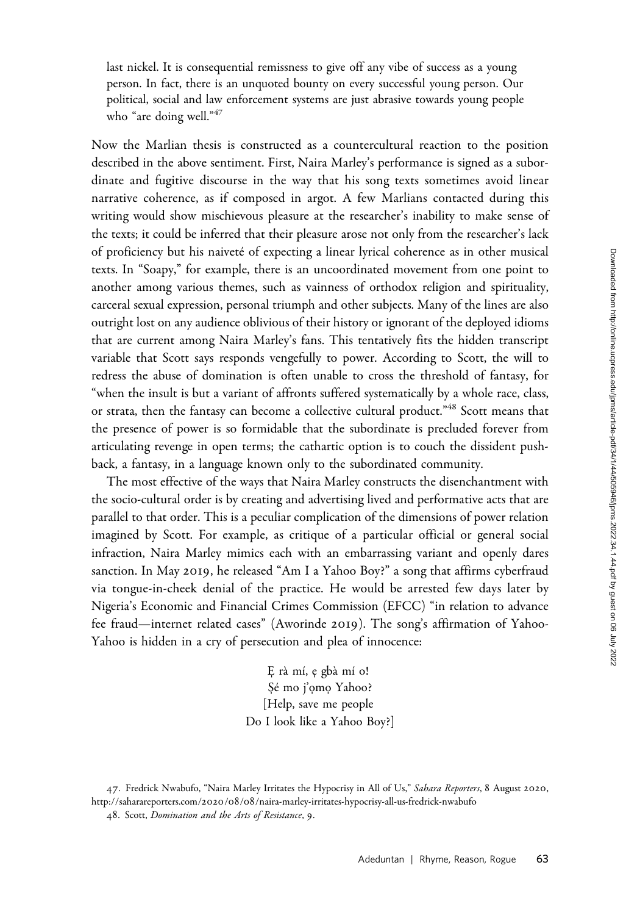last nickel. It is consequential remissness to give off any vibe of success as a young person. In fact, there is an unquoted bounty on every successful young person. Our political, social and law enforcement systems are just abrasive towards young people who "are doing well."<sup>47</sup>

Now the Marlian thesis is constructed as a countercultural reaction to the position described in the above sentiment. First, Naira Marley's performance is signed as a subordinate and fugitive discourse in the way that his song texts sometimes avoid linear narrative coherence, as if composed in argot. A few Marlians contacted during this writing would show mischievous pleasure at the researcher's inability to make sense of the texts; it could be inferred that their pleasure arose not only from the researcher's lack of proficiency but his naiveté of expecting a linear lyrical coherence as in other musical texts. In "Soapy," for example, there is an uncoordinated movement from one point to another among various themes, such as vainness of orthodox religion and spirituality, carceral sexual expression, personal triumph and other subjects. Many of the lines are also outright lost on any audience oblivious of their history or ignorant of the deployed idioms that are current among Naira Marley's fans. This tentatively fits the hidden transcript variable that Scott says responds vengefully to power. According to Scott, the will to redress the abuse of domination is often unable to cross the threshold of fantasy, for "when the insult is but a variant of affronts suffered systematically by a whole race, class, or strata, then the fantasy can become a collective cultural product."<sup>48</sup> Scott means that the presence of power is so formidable that the subordinate is precluded forever from articulating revenge in open terms; the cathartic option is to couch the dissident pushback, a fantasy, in a language known only to the subordinated community.

The most effective of the ways that Naira Marley constructs the disenchantment with the socio-cultural order is by creating and advertising lived and performative acts that are parallel to that order. This is a peculiar complication of the dimensions of power relation imagined by Scott. For example, as critique of a particular official or general social infraction, Naira Marley mimics each with an embarrassing variant and openly dares sanction. In May 2019, he released "Am I a Yahoo Boy?" a song that affirms cyberfraud via tongue-in-cheek denial of the practice. He would be arrested few days later by Nigeria's Economic and Financial Crimes Commission (EFCC) "in relation to advance fee fraud—internet related cases" (Aworinde 2019). The song's affirmation of Yahoo-Yahoo is hidden in a cry of persecution and plea of innocence:

> E rà mí, e gbà mí o! Sé mo j'omo Yahoo? [Help, save me people Do I look like a Yahoo Boy?]

<sup>47.</sup> Fredrick Nwabufo, "Naira Marley Irritates the Hypocrisy in All of Us," Sahara Reporters, 8 August 2020, http://saharareporters.com/2020/08/08[/naira-marley-irritates-hypocrisy-all-us-fredrick-nwabufo](http://saharareporters.com/2020/08/08/naira-marley-irritates-hypocrisy-all-us-fredrick-nwabufo)

<sup>48</sup>. Scott, Domination and the Arts of Resistance, 9.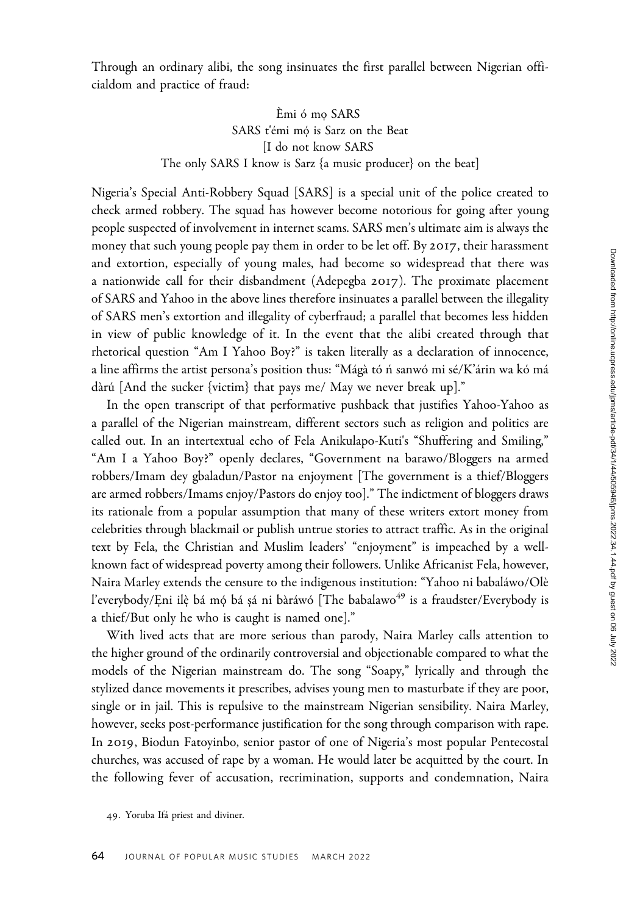Through an ordinary alibi, the song insinuates the first parallel between Nigerian officialdom and practice of fraud:

> Èmi ó mọ SARS SARS t'émi mó is Sarz on the Beat [I do not know SARS The only SARS I know is Sarz {a music producer} on the beat]

Nigeria's Special Anti-Robbery Squad [SARS] is a special unit of the police created to check armed robbery. The squad has however become notorious for going after young people suspected of involvement in internet scams. SARS men's ultimate aim is always the money that such young people pay them in order to be let off. By 2017, their harassment and extortion, especially of young males, had become so widespread that there was a nationwide call for their disbandment (Adepegba 2017). The proximate placement of SARS and Yahoo in the above lines therefore insinuates a parallel between the illegality of SARS men's extortion and illegality of cyberfraud; a parallel that becomes less hidden in view of public knowledge of it. In the event that the alibi created through that rhetorical question "Am I Yahoo Boy?" is taken literally as a declaration of innocence, a line affirms the artist persona's position thus: "Mágà tó ń sanwó mi sé/K'árin wa kó má dàrú [And the sucker {victim} that pays me/ May we never break up]."

In the open transcript of that performative pushback that justifies Yahoo-Yahoo as a parallel of the Nigerian mainstream, different sectors such as religion and politics are called out. In an intertextual echo of Fela Anikulapo-Kuti's "Shuffering and Smiling," "Am I a Yahoo Boy?" openly declares, "Government na barawo/Bloggers na armed robbers/Imam dey gbaladun/Pastor na enjoyment [The government is a thief/Bloggers are armed robbers/Imams enjoy/Pastors do enjoy too]." The indictment of bloggers draws its rationale from a popular assumption that many of these writers extort money from celebrities through blackmail or publish untrue stories to attract traffic. As in the original text by Fela, the Christian and Muslim leaders' "enjoyment" is impeached by a wellknown fact of widespread poverty among their followers. Unlike Africanist Fela, however, Naira Marley extends the censure to the indigenous institution: "Yahoo ni babaláwo/Olè l'everybody/Eni ilè bá mó bá sá ni bàráwó [The babalawo<sup>49</sup> is a fraudster/Everybody is a thief/But only he who is caught is named one]."

With lived acts that are more serious than parody, Naira Marley calls attention to the higher ground of the ordinarily controversial and objectionable compared to what the models of the Nigerian mainstream do. The song "Soapy," lyrically and through the stylized dance movements it prescribes, advises young men to masturbate if they are poor, single or in jail. This is repulsive to the mainstream Nigerian sensibility. Naira Marley, however, seeks post-performance justification for the song through comparison with rape. In 2019, Biodun Fatoyinbo, senior pastor of one of Nigeria's most popular Pentecostal churches, was accused of rape by a woman. He would later be acquitted by the court. In the following fever of accusation, recrimination, supports and condemnation, Naira

<sup>49</sup>. Yoruba Ifá priest and diviner.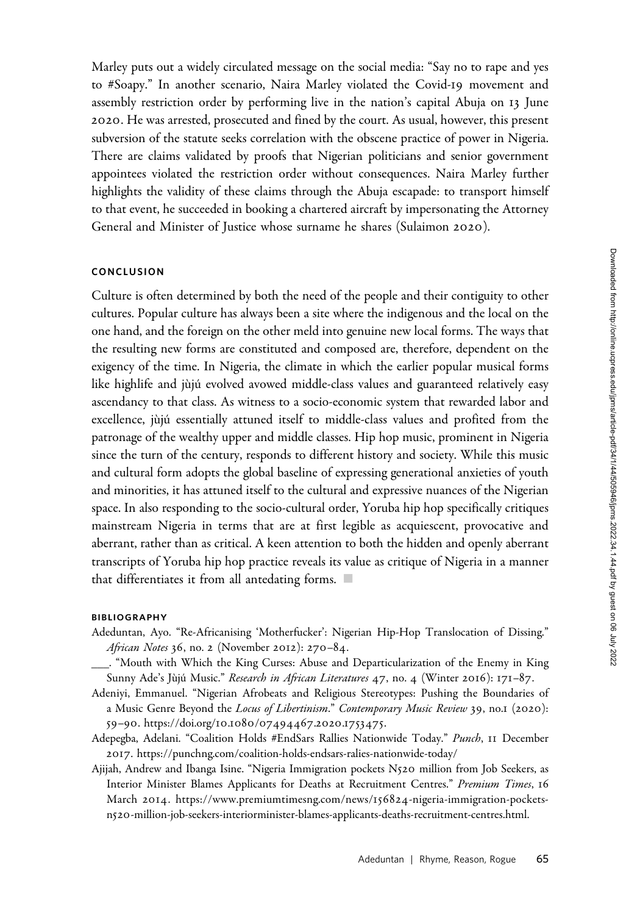Marley puts out a widely circulated message on the social media: "Say no to rape and yes to #Soapy." In another scenario, Naira Marley violated the Covid-19 movement and assembly restriction order by performing live in the nation's capital Abuja on 13 June 2020. He was arrested, prosecuted and fined by the court. As usual, however, this present subversion of the statute seeks correlation with the obscene practice of power in Nigeria. There are claims validated by proofs that Nigerian politicians and senior government appointees violated the restriction order without consequences. Naira Marley further highlights the validity of these claims through the Abuja escapade: to transport himself to that event, he succeeded in booking a chartered aircraft by impersonating the Attorney General and Minister of Justice whose surname he shares (Sulaimon 2020).

# CONCLUSION

Culture is often determined by both the need of the people and their contiguity to other cultures. Popular culture has always been a site where the indigenous and the local on the one hand, and the foreign on the other meld into genuine new local forms. The ways that the resulting new forms are constituted and composed are, therefore, dependent on the exigency of the time. In Nigeria, the climate in which the earlier popular musical forms like highlife and jùjú evolved avowed middle-class values and guaranteed relatively easy ascendancy to that class. As witness to a socio-economic system that rewarded labor and excellence, jùjú essentially attuned itself to middle-class values and profited from the patronage of the wealthy upper and middle classes. Hip hop music, prominent in Nigeria since the turn of the century, responds to different history and society. While this music and cultural form adopts the global baseline of expressing generational anxieties of youth and minorities, it has attuned itself to the cultural and expressive nuances of the Nigerian space. In also responding to the socio-cultural order, Yoruba hip hop specifically critiques mainstream Nigeria in terms that are at first legible as acquiescent, provocative and aberrant, rather than as critical. A keen attention to both the hidden and openly aberrant transcripts of Yoruba hip hop practice reveals its value as critique of Nigeria in a manner that differentiates it from all antedating forms.  $\blacksquare$ 

### **BIBLIOGRAPHY**

- ------ ----------<br>Adeduntan, Ayo. "Re-Africanising 'Motherfucker': Nigerian Hip-Hop Translocation of Dissing." African Notes 36, no. 2 (November 2012): 270–84.
- \_\_\_. "Mouth with Which the King Curses: Abuse and Departicularization of the Enemy in King Sunny Ade's Jùjú Music." Research in African Literatures 47, no. 4 (Winter 2016): 171-87.
- Adeniyi, Emmanuel. "Nigerian Afrobeats and Religious Stereotypes: Pushing the Boundaries of a Music Genre Beyond the Locus of Libertinism." Contemporary Music Review 39, no.1 (2020): 59–90. [https://doi.org/](https://doi.org/10.1080/07494467.2020.1753475)10.1080/07494467.2020.1753475.
- Adepegba, Adelani. "Coalition Holds #EndSars Rallies Nationwide Today." Punch, 11 December 2017.<https://punchng.com/coalition-holds-endsars-ralies-nationwide-today/>
- Ajijah, Andrew and Ibanga Isine. "Nigeria Immigration pockets N520 million from Job Seekers, as Interior Minister Blames Applicants for Deaths at Recruitment Centres." Premium Times, 16 March 2014. [https://www.premiumtimesng.com/news/](https://www.premiumtimesng.com/news/156824-nigeria-immigration-pockets-n520-million-job-seekers-interiorminister-blames-applicants-deaths-recruitment-centres.html)156824-nigeria-immigration-pocketsn520[-million-job-seekers-interiorminister-blames-applicants-deaths-recruitment-centres.html](https://www.premiumtimesng.com/news/156824-nigeria-immigration-pockets-n520-million-job-seekers-interiorminister-blames-applicants-deaths-recruitment-centres.html).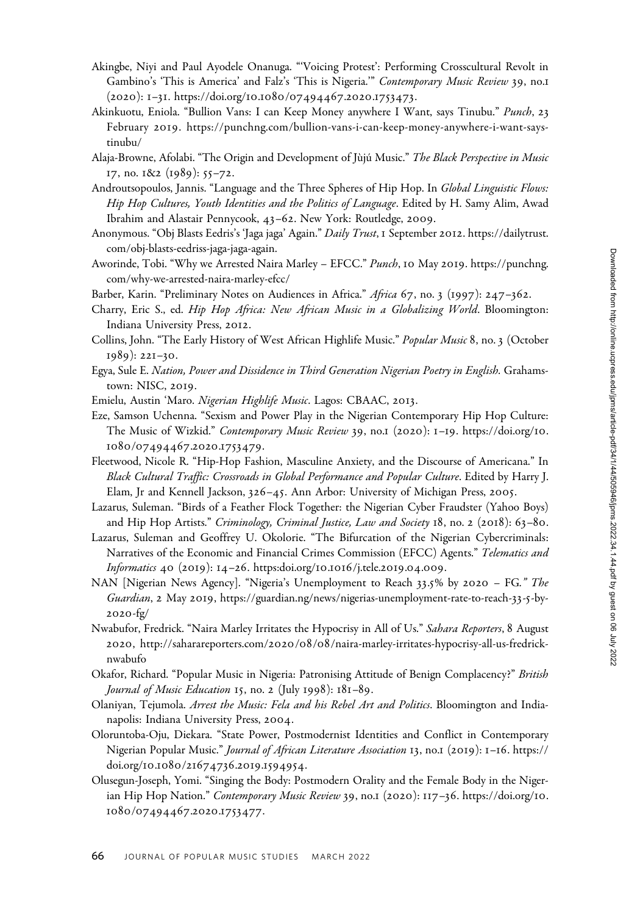- Akingbe, Niyi and Paul Ayodele Onanuga. "'Voicing Protest': Performing Crosscultural Revolt in Gambino's 'This is America' and Falz's 'This is Nigeria."" Contemporary Music Review 39, no.1 (2020): 1–31. [https://doi.org/](https://doi.org/10.1080/07494467.2020.1753473)10.1080/07494467.2020.1753473.
- Akinkuotu, Eniola. "Bullion Vans: I can Keep Money anywhere I Want, says Tinubu." Punch, 23 February 2019. [https://punchng.com/bullion-vans-i-can-keep-money-anywhere-i-want-says](https://punchng.com/bullion-vans-i-can-keep-money-anywhere-i-want-says-tinubu/)[tinubu/](https://punchng.com/bullion-vans-i-can-keep-money-anywhere-i-want-says-tinubu/)
- Alaja-Browne, Afolabi. "The Origin and Development of Jùjú Music." The Black Perspective in Music 17, no. 1&2 (1989): 55–72.
- Androutsopoulos, Jannis. "Language and the Three Spheres of Hip Hop. In Global Linguistic Flows: Hip Hop Cultures, Youth Identities and the Politics of Language. Edited by H. Samy Alim, Awad Ibrahim and Alastair Pennycook, 43–62. New York: Routledge, 2009.
- Anonymous. "Obj Blasts Eedris's 'Jaga jaga' Again." Daily Trust, 1 September 2012. [https://dailytrust.](https://dailytrust.com/obj-blasts-eedriss-jaga-jaga-again) [com/obj-blasts-eedriss-jaga-jaga-again.](https://dailytrust.com/obj-blasts-eedriss-jaga-jaga-again)
- Aworinde, Tobi. "Why we Arrested Naira Marley EFCC." Punch, 10 May 2019. [https://punchng.](https://punchng.com/why-we-arrested-naira-marley-efcc/) [com/why-we-arrested-naira-marley-efcc/](https://punchng.com/why-we-arrested-naira-marley-efcc/)
- Barber, Karin. "Preliminary Notes on Audiences in Africa." Africa 67, no. 3 (1997): 247–362.
- Charry, Eric S., ed. Hip Hop Africa: New African Music in a Globalizing World. Bloomington: Indiana University Press, 2012.
- Collins, John. "The Early History of West African Highlife Music." Popular Music 8, no. 3 (October 1989): 221–30.
- Egya, Sule E. Nation, Power and Dissidence in Third Generation Nigerian Poetry in English. Grahamstown: NISC, 2019.
- Emielu, Austin 'Maro. Nigerian Highlife Music. Lagos: CBAAC, 2013.
- Eze, Samson Uchenna. "Sexism and Power Play in the Nigerian Contemporary Hip Hop Culture: The Music of Wizkid." Contemporary Music Review 39, no.1 (2020): 1-19. [https://doi.org/](https://doi.org/10.1080/07494467.2020.1753479)10. 1080/[07494467](https://doi.org/10.1080/07494467.2020.1753479).2020.1753479.
- Fleetwood, Nicole R. "Hip-Hop Fashion, Masculine Anxiety, and the Discourse of Americana." In Black Cultural Traffic: Crossroads in Global Performance and Popular Culture. Edited by Harry J. Elam, Jr and Kennell Jackson, 326–45. Ann Arbor: University of Michigan Press, 2005.
- Lazarus, Suleman. "Birds of a Feather Flock Together: the Nigerian Cyber Fraudster (Yahoo Boys) and Hip Hop Artists." Criminology, Criminal Justice, Law and Society 18, no. 2 (2018): 63-80.
- Lazarus, Suleman and Geoffrey U. Okolorie. "The Bifurcation of the Nigerian Cybercriminals: Narratives of the Economic and Financial Crimes Commission (EFCC) Agents." Telematics and Informatics 40 (2019): 14–26. [https:doi.org/](https:doi.org/10.1016/j.tele.2019.04.009)10.1016/j.tele.2019.04.009.
- NAN [Nigerian News Agency]. "Nigeria's Unemployment to Reach 33.5% by 2020 FG." The Guardian, 2 May 2019, [https://guardian.ng/news/nigerias-unemployment-rate-to-reach-](https://guardian.ng/news/nigerias-unemployment-rate-to-reach-33-5-by-2020-fg/)33-5-by-[2020](https://guardian.ng/news/nigerias-unemployment-rate-to-reach-33-5-by-2020-fg/)-fg/
- Nwabufor, Fredrick. "Naira Marley Irritates the Hypocrisy in All of Us." Sahara Reporters, 8 August 2020, http://saharareporters.com/2020/08/08[/naira-marley-irritates-hypocrisy-all-us-fredrick](http://saharareporters.com/2020/08/08/naira-marley-irritates-hypocrisy-all-us-fredrick-nwabufo)[nwabufo](http://saharareporters.com/2020/08/08/naira-marley-irritates-hypocrisy-all-us-fredrick-nwabufo)
- Okafor, Richard. "Popular Music in Nigeria: Patronising Attitude of Benign Complacency?" British Journal of Music Education 15, no. 2 (July 1998): 181-89.
- Olaniyan, Tejumola. Arrest the Music: Fela and his Rebel Art and Politics. Bloomington and Indianapolis: Indiana University Press, 2004.
- Oloruntoba-Oju, Diekara. "State Power, Postmodernist Identities and Conflict in Contemporary Nigerian Popular Music." Journal of African Literature Association 13, no.1 (2019): 1–16. [https://](https://doi.org/10.1080/21674736.2019.1594954) doi.org/10.1080/[21674736](https://doi.org/10.1080/21674736.2019.1594954).2019.1594954.
- Olusegun-Joseph, Yomi. "Singing the Body: Postmodern Orality and the Female Body in the Nigerian Hip Hop Nation." Contemporary Music Review 39, no.1 (2020): 117-36. [https://doi.org/](https://doi.org/10.1080/07494467.2020.1753477)10. 1080/[07494467](https://doi.org/10.1080/07494467.2020.1753477).2020.1753477.